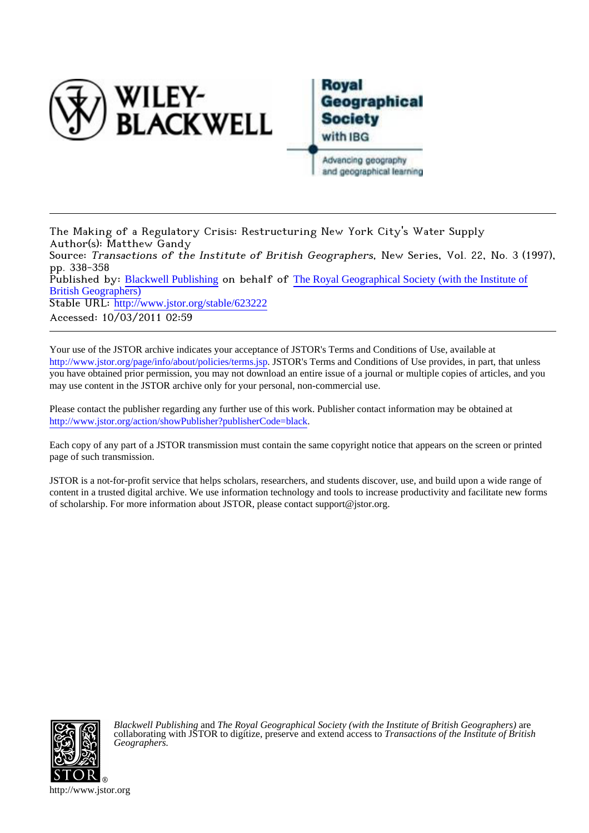

# Roval **Geographical Society** with IBG Advancing geography and geographical learning

The Making of a Regulatory Crisis: Restructuring New York City's Water Supply Author(s): Matthew Gandy Source: Transactions of the Institute of British Geographers, New Series, Vol. 22, No. 3 (1997), pp. 338-358 Published by: [Blackwell Publishing](http://www.jstor.org/action/showPublisher?publisherCode=black) on behalf of [The Royal Geographical Society \(with the Institute of](http://www.jstor.org/action/showPublisher?publisherCode=rgs) [British Geographers\)](http://www.jstor.org/action/showPublisher?publisherCode=rgs) Stable URL: http://www.jstor.org/stable/623222 Accessed: 10/03/2011 02:59

Your use of the JSTOR archive indicates your acceptance of JSTOR's Terms and Conditions of Use, available at <http://www.jstor.org/page/info/about/policies/terms.jsp>. JSTOR's Terms and Conditions of Use provides, in part, that unless you have obtained prior permission, you may not download an entire issue of a journal or multiple copies of articles, and you may use content in the JSTOR archive only for your personal, non-commercial use.

Please contact the publisher regarding any further use of this work. Publisher contact information may be obtained at [http://www.jstor.org/action/showPublisher?publisherCode=black.](http://www.jstor.org/action/showPublisher?publisherCode=black) .

Each copy of any part of a JSTOR transmission must contain the same copyright notice that appears on the screen or printed page of such transmission.

JSTOR is a not-for-profit service that helps scholars, researchers, and students discover, use, and build upon a wide range of content in a trusted digital archive. We use information technology and tools to increase productivity and facilitate new forms of scholarship. For more information about JSTOR, please contact support@jstor.org.



*Blackwell Publishing* and *The Royal Geographical Society (with the Institute of British Geographers)* are collaborating with JSTOR to digitize, preserve and extend access to *Transactions of the Institute of British Geographers.*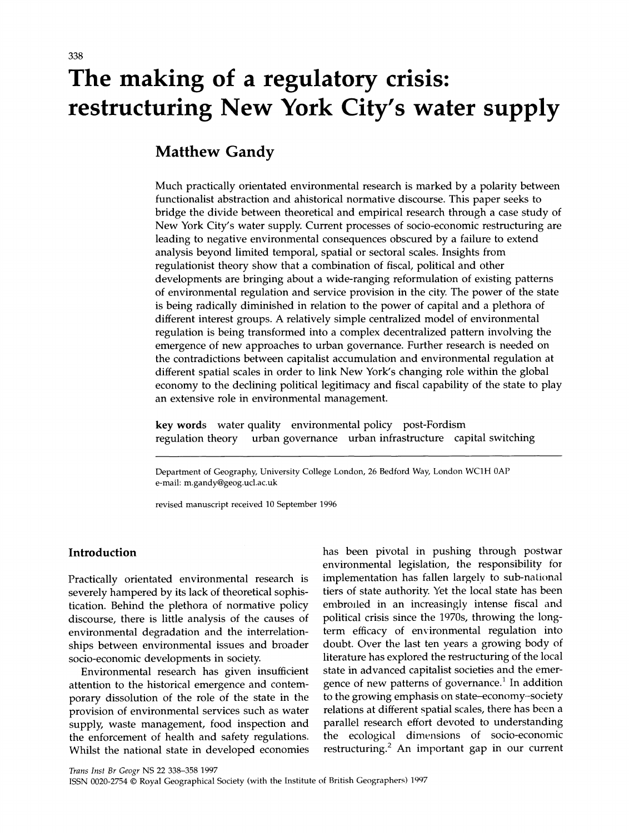# **The making of a regulatory crisis: restructuring New York City's water supply**

# **Matthew Gandy**

**Much practically orientated environmental research is marked by a polarity between functionalist abstraction and ahistorical normative discourse. This paper seeks to bridge the divide between theoretical and empirical research through a case study of New York City's water supply. Current processes of socio-economic restructuring are leading to negative environmental consequences obscured by a failure to extend analysis beyond limited temporal, spatial or sectoral scales. Insights from regulationist theory show that a combination of fiscal, political and other developments are bringing about a wide-ranging reformulation of existing patterns of environmental regulation and service provision in the city. The power of the state is being radically diminished in relation to the power of capital and a plethora of different interest groups. A relatively simple centralized model of environmental regulation is being transformed into a complex decentralized pattern involving the emergence of new approaches to urban governance. Further research is needed on the contradictions between capitalist accumulation and environmental regulation at different spatial scales in order to link New York's changing role within the global economy to the declining political legitimacy and fiscal capability of the state to play an extensive role in environmental management.** 

**key words water quality environmental policy post-Fordism regularized** urban infrastructure capital switching urban governance urban infrastructure capital switching

**Department of Geography, University College London, 26 Bedford Way, London WC1H OAP e-mail: m.gandy@geog.ucl.ac.uk** 

**revised manuscript received 10 September 1996** 

## **Introduction**

**Practically orientated environmental research is severely hampered by its lack of theoretical sophistication. Behind the plethora of normative policy discourse, there is little analysis of the causes of environmental degradation and the interrelationships between environmental issues and broader socio-economic developments in society.** 

**Environmental research has given insufficient attention to the historical emergence and contemporary dissolution of the role of the state in the provision of environmental services such as water supply, waste management, food inspection and the enforcement of health and safety regulations. Whilst the national state in developed economies**  **has been pivotal in pushing through postwar environmental legislation, the responsibility for implementation has fallen largely to sub-national tiers of state authority. Yet the local state has been embrolled in an increasingly intense fiscal and political crisis since the 1970s, throwing the longterm efficacy of environmental regulation into doubt. Over the last ten years a growing body of literature has explored the restructuring of the local state in advanced capitalist societies and the emergence of new patterns of governance.1 In addition to the growing emphasis on state-economy-society relations at different spatial scales, there has been a parallel research effort devoted to understanding the ecological dimensions of socio-economic restructuring.2 An important gap in our current** 

**Trans Inst Br Geogr NS 22 338-358 1997** 

ISSN 0020-2754 © Royal Geographical Society (with the Institute of British Geographers) 1997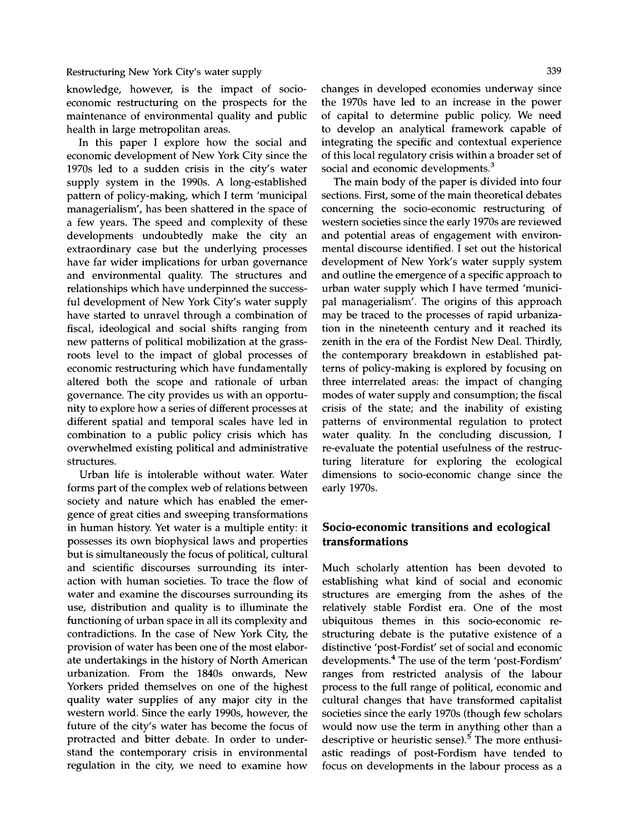**knowledge, however, is the impact of socioeconomic restructuring on the prospects for the maintenance of environmental quality and public health in large metropolitan areas.** 

**In this paper I explore how the social and economic development of New York City since the 1970s led to a sudden crisis in the city's water supply system in the 1990s. A long-established pattern of policy-making, which I term 'municipal managerialism', has been shattered in the space of a few years. The speed and complexity of these developments undoubtedly make the city an extraordinary case but the underlying processes have far wider implications for urban governance and environmental quality. The structures and relationships which have underpinned the successful development of New York City's water supply have started to unravel through a combination of fiscal, ideological and social shifts ranging from new patterns of political mobilization at the grassroots level to the impact of global processes of economic restructuring which have fundamentally altered both the scope and rationale of urban governance. The city provides us with an opportunity to explore how a series of different processes at different spatial and temporal scales have led in combination to a public policy crisis which has overwhelmed existing political and administrative structures.** 

**Urban life is intolerable without water. Water forms part of the complex web of relations between society and nature which has enabled the emergence of great cities and sweeping transformations in human history. Yet water is a multiple entity: it possesses its own biophysical laws and properties but is simultaneously the focus of political, cultural and scientific discourses surrounding its interaction with human societies. To trace the flow of water and examine the discourses surrounding its use, distribution and quality is to illuminate the functioning of urban space in all its complexity and contradictions. In the case of New York City, the provision of water has been one of the most elaborate undertakings in the history of North American urbanization. From the 1840s onwards, New Yorkers prided themselves on one of the highest quality water supplies of any major city in the western world. Since the early 1990s, however, the future of the city's water has become the focus of protracted and bitter debate. In order to understand the contemporary crisis in environmental regulation in the city, we need to examine how** 

**changes in developed economies underway since the 1970s have led to an increase in the power of capital to determine public policy. We need to develop an analytical framework capable of integrating the specific and contextual experience of this local regulatory crisis within a broader set of social and economic developments.3** 

**The main body of the paper is divided into four sections. First, some of the main theoretical debates concerning the socio-economic restructuring of western societies since the early 1970s are reviewed and potential areas of engagement with environmental discourse identified. I set out the historical development of New York's water supply system and outline the emergence of a specific approach to urban water supply which I have termed 'municipal managerialism'. The origins of this approach may be traced to the processes of rapid urbanization in the nineteenth century and it reached its zenith in the era of the Fordist New Deal. Thirdly, the contemporary breakdown in established patterns of policy-making is explored by focusing on three interrelated areas: the impact of changing modes of water supply and consumption; the fiscal crisis of the state; and the inability of existing patterns of environmental regulation to protect water quality. In the concluding discussion, I re-evaluate the potential usefulness of the restructuring literature for exploring the ecological dimensions to socio-economic change since the early 1970s.** 

# **Socio-economic transitions and ecological transformations**

**Much scholarly attention has been devoted to establishing what kind of social and economic structures are emerging from the ashes of the relatively stable Fordist era. One of the most ubiquitous themes in this socio-economic restructuring debate is the putative existence of a distinctive 'post-Fordist' set of social and economic developments.4 The use of the term 'post-Fordism' ranges from restricted analysis of the labour process to the full range of political, economic and cultural changes that have transformed capitalist societies since the early 1970s (though few scholars would now use the term in anything other than a descriptive or heuristic sense).5 The more enthusiastic readings of post-Fordism have tended to focus on developments in the labour process as a**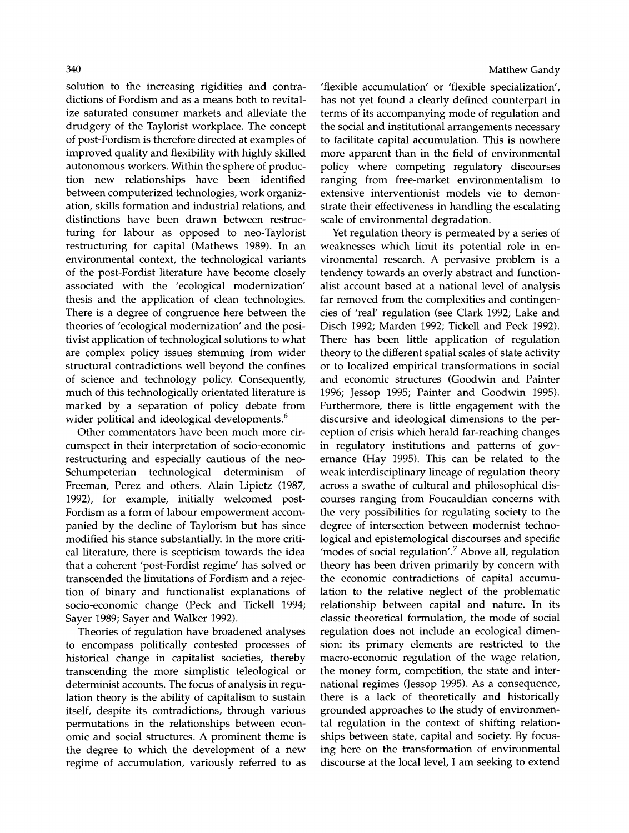**solution to the increasing rigidities and contradictions of Fordism and as a means both to revitalize saturated consumer markets and alleviate the drudgery of the Taylorist workplace. The concept of post-Fordism is therefore directed at examples of improved quality and flexibility with highly skilled autonomous workers. Within the sphere of production new relationships have been identified between computerized technologies, work organization, skills formation and industrial relations, and distinctions have been drawn between restructuring for labour as opposed to neo-Taylorist restructuring for capital (Mathews 1989). In an environmental context, the technological variants of the post-Fordist literature have become closely associated with the 'ecological modernization' thesis and the application of clean technologies. There is a degree of congruence here between the theories of 'ecological modernization' and the positivist application of technological solutions to what are complex policy issues stemming from wider structural contradictions well beyond the confines of science and technology policy. Consequently, much of this technologically orientated literature is marked by a separation of policy debate from wider political and ideological developments.6** 

**Other commentators have been much more circumspect in their interpretation of socio-economic restructuring and especially cautious of the neo-Schumpeterian** technological **Freeman, Perez and others. Alain Lipietz (1987, 1992), for example, initially welcomed post-Fordism as a form of labour empowerment accompanied by the decline of Taylorism but has since modified his stance substantially. In the more critical literature, there is scepticism towards the idea that a coherent 'post-Fordist regime' has solved or transcended the limitations of Fordism and a rejection of binary and functionalist explanations of socio-economic change (Peck and Tickell 1994; Sayer 1989; Sayer and Walker 1992).** 

**Theories of regulation have broadened analyses to encompass politically contested processes of historical change in capitalist societies, thereby transcending the more simplistic teleological or determinist accounts. The focus of analysis in regulation theory is the ability of capitalism to sustain itself, despite its contradictions, through various permutations in the relationships between economic and social structures. A prominent theme is the degree to which the development of a new regime of accumulation, variously referred to as** 

#### **Matthew Gandy**

**'flexible accumulation' or 'flexible specialization', has not yet found a clearly defined counterpart in terms of its accompanying mode of regulation and the social and institutional arrangements necessary to facilitate capital accumulation. This is nowhere more apparent than in the field of environmental policy where competing regulatory discourses ranging from free-market environmentalism to extensive interventionist models vie to demonstrate their effectiveness in handling the escalating scale of environmental degradation.** 

**Yet regulation theory is permeated by a series of weaknesses which limit its potential role in environmental research. A pervasive problem is a tendency towards an overly abstract and functionalist account based at a national level of analysis far removed from the complexities and contingencies of 'real' regulation (see Clark 1992; Lake and Disch 1992; Marden 1992; Tickell and Peck 1992). There has been little application of regulation theory to the different spatial scales of state activity or to localized empirical transformations in social and economic structures (Goodwin and Painter 1996; Jessop 1995; Painter and Goodwin 1995). Furthermore, there is little engagement with the discursive and ideological dimensions to the perception of crisis which herald far-reaching changes in regulatory institutions and patterns of governance (Hay 1995). This can be related to the weak interdisciplinary lineage of regulation theory across a swathe of cultural and philosophical discourses ranging from Foucauldian concerns with the very possibilities for regulating society to the degree of intersection between modernist technological and epistemological discourses and specific 'modes of social regulation'.7 Above all, regulation theory has been driven primarily by concern with the economic contradictions of capital accumulation to the relative neglect of the problematic relationship between capital and nature. In its classic theoretical formulation, the mode of social regulation does not include an ecological dimension: its primary elements are restricted to the macro-economic regulation of the wage relation, the money form, competition, the state and international regimes (Jessop 1995). As a consequence, there is a lack of theoretically and historically grounded approaches to the study of environmental regulation in the context of shifting relationships between state, capital and society. By focusing here on the transformation of environmental discourse at the local level, I am seeking to extend**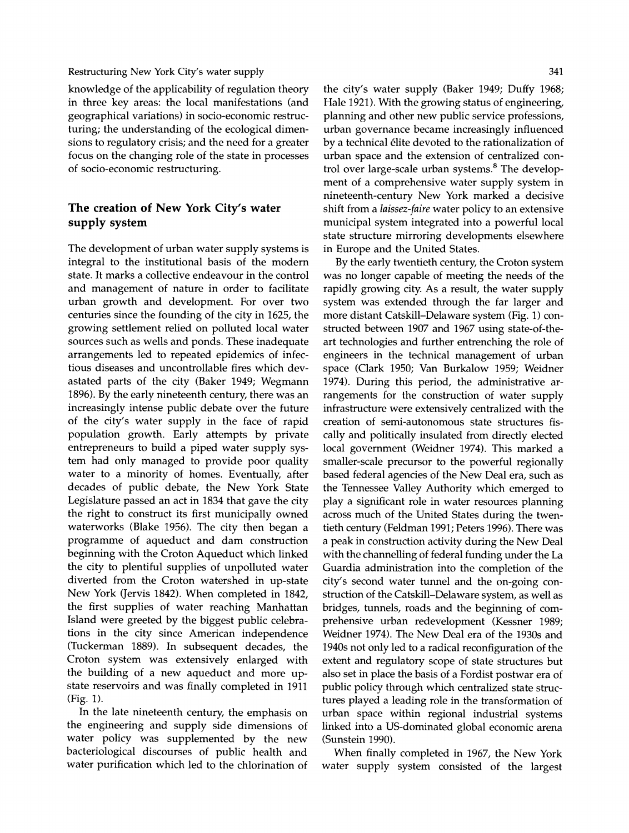**knowledge of the applicability of regulation theory in three key areas: the local manifestations (and geographical variations) in socio-economic restructuring; the understanding of the ecological dimensions to regulatory crisis; and the need for a greater focus on the changing role of the state in processes of socio-economic restructuring.** 

# **The creation of New York City's water supply system**

**The development of urban water supply systems is integral to the institutional basis of the modern state. It marks a collective endeavour in the control and management of nature in order to facilitate urban growth and development. For over two centuries since the founding of the city in 1625, the growing settlement relied on polluted local water sources such as wells and ponds. These inadequate arrangements led to repeated epidemics of infectious diseases and uncontrollable fires which devastated parts of the city (Baker 1949; Wegmann 1896). By the early nineteenth century, there was an increasingly intense public debate over the future of the city's water supply in the face of rapid population growth. Early attempts by private entrepreneurs to build a piped water supply system had only managed to provide poor quality water to a minority of homes. Eventually, after decades of public debate, the New York State Legislature passed an act in 1834 that gave the city the right to construct its first municipally owned waterworks (Blake 1956). The city then began a programme of aqueduct and dam construction beginning with the Croton Aqueduct which linked the city to plentiful supplies of unpolluted water diverted from the Croton watershed in up-state New York (Jervis 1842). When completed in 1842, the first supplies of water reaching Manhattan Island were greeted by the biggest public celebrations in the city since American independence (Tuckerman 1889). In subsequent decades, the Croton system was extensively enlarged with the building of a new aqueduct and more upstate reservoirs and was finally completed in 1911 (Fig. 1).** 

**In the late nineteenth century, the emphasis on the engineering and supply side dimensions of water policy was supplemented by the new bacteriological discourses of public health and water purification which led to the chlorination of**  **the city's water supply (Baker 1949; Duffy 1968; Hale 1921). With the growing status of engineering, planning and other new public service professions, urban governance became increasingly influenced by a technical elite devoted to the rationalization of urban space and the extension of centralized control over large-scale urban systems.8 The development of a comprehensive water supply system in nineteenth-century New York marked a decisive shift from a laissez-faire water policy to an extensive municipal system integrated into a powerful local state structure mirroring developments elsewhere in Europe and the United States.** 

**By the early twentieth century, the Croton system was no longer capable of meeting the needs of the rapidly growing city. As a result, the water supply system was extended through the far larger and more distant Catskill-Delaware system (Fig. 1) constructed between 1907 and 1967 using state-of-theart technologies and further entrenching the role of engineers in the technical management of urban space (Clark 1950; Van Burkalow 1959; Weidner 1974). During this period, the administrative arrangements for the construction of water supply infrastructure were extensively centralized with the creation of semi-autonomous state structures fiscally and politically insulated from directly elected local government (Weidner 1974). This marked a smaller-scale precursor to the powerful regionally based federal agencies of the New Deal era, such as the Tennessee Valley Authority which emerged to play a significant role in water resources planning across much of the United States during the twentieth century (Feldman 1991; Peters 1996). There was a peak in construction activity during the New Deal with the channelling of federal funding under the La Guardia administration into the completion of the city's second water tunnel and the on-going construction of the Catskill-Delaware system, as well as bridges, tunnels, roads and the beginning of comprehensive urban redevelopment (Kessner 1989; Weidner 1974). The New Deal era of the 1930s and 1940s not only led to a radical reconfiguration of the extent and regulatory scope of state structures but also set in place the basis of a Fordist postwar era of public policy through which centralized state structures played a leading role in the transformation of urban space within regional industrial systems linked into a US-dominated global economic arena (Sunstein 1990).** 

**When finally completed in 1967, the New York water supply system consisted of the largest**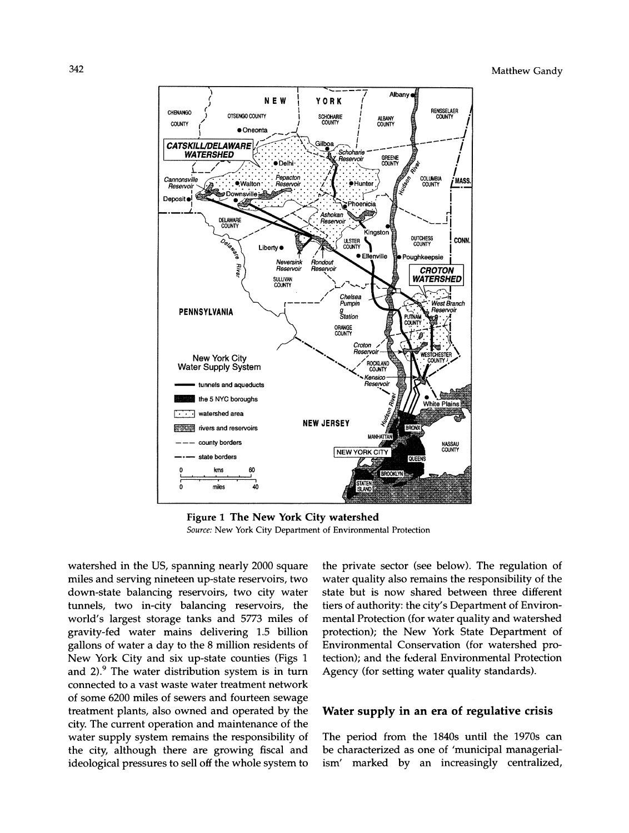

**Figure 1 The New York City watershed Source: New York City Department of Environmental Protection** 

**watershed in the US, spanning nearly 2000 square miles and serving nineteen up-state reservoirs, two down-state balancing reservoirs, two city water tunnels, two in-city balancing reservoirs, the world's largest storage tanks and 5773 miles of gravity-fed water mains delivering 1.5 billion gallons of water a day to the 8 million residents of New York City and six up-state counties (Figs 1 and 2).9 The water distribution system is in turn connected to a vast waste water treatment network of some 6200 miles of sewers and fourteen sewage treatment plants, also owned and operated by the city. The current operation and maintenance of the water supply system remains the responsibility of the city, although there are growing fiscal and ideological pressures to sell off the whole system to** 

**the private sector (see below). The regulation of water quality also remains the responsibility of the state but is now shared between three different tiers of authority: the city's Department of Environmental Protection (for water quality and watershed protection); the New York State Department of Environmental Conservation (for watershed protection); and the federal Environmental Protection Agency (for setting water quality standards).** 

#### **Water supply in an era of regulative crisis**

**The period from the 1840s until the 1970s can be characterized as one of 'municipal managerialism' marked by an increasingly centralized,**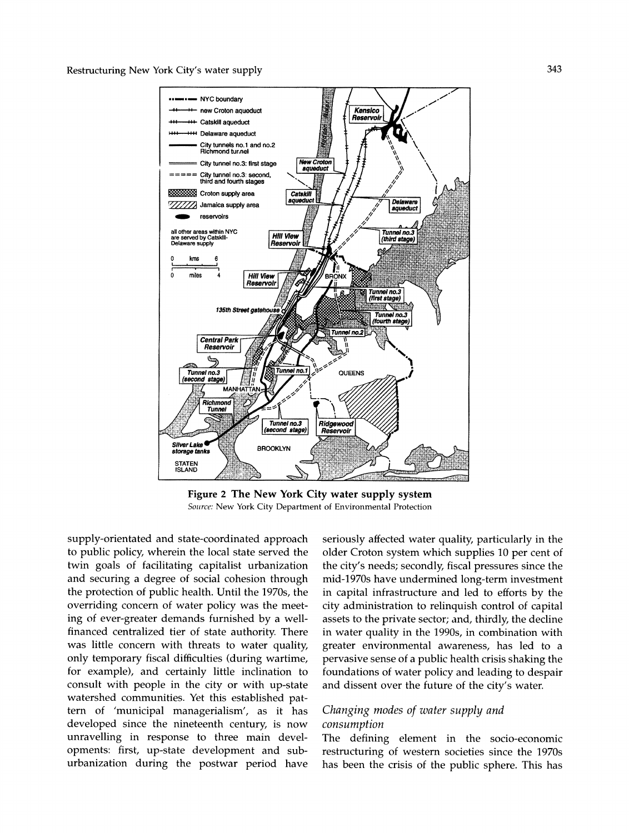

**Figure 2 The New York City water supply system Source: New York City Department of Environmental Protection** 

**supply-orientated and state-coordinated approach to public policy, wherein the local state served the twin goals of facilitating capitalist urbanization and securing a degree of social cohesion through the protection of public health. Until the 1970s, the overriding concern of water policy was the meeting of ever-greater demands furnished by a wellfinanced centralized tier of state authority. There was little concern with threats to water quality, only temporary fiscal difficulties (during wartime, for example), and certainly little inclination to consult with people in the city or with up-state watershed communities. Yet this established pattern of 'municipal managerialism', as it has developed since the nineteenth century, is now unravelling in response to three main developments: first, up-state development and suburbanization during the postwar period have** 

**seriously affected water quality, particularly in the older Croton system which supplies 10 per cent of the city's needs; secondly, fiscal pressures since the mid-1970s have undermined long-term investment in capital infrastructure and led to efforts by the city administration to relinquish control of capital assets to the private sector; and, thirdly, the decline in water quality in the 1990s, in combination with greater environmental awareness, has led to a pervasive sense of a public health crisis shaking the foundations of water policy and leading to despair and dissent over the future of the city's water.** 

# **Changing modes of water supply and consumption**

**The defining element in the socio-economic restructuring of western societies since the 1970s has been the crisis of the public sphere. This has**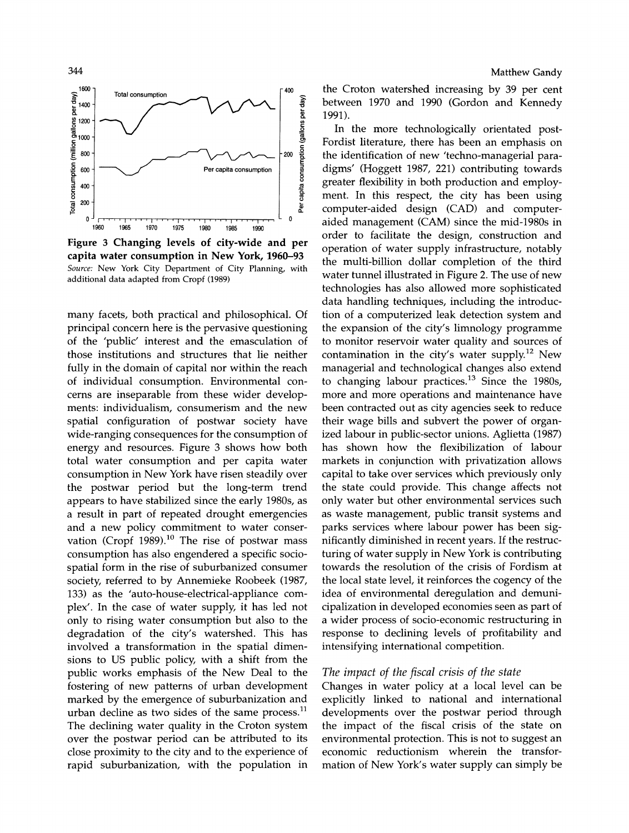

**Figure 3 Changing levels of city-wide and per capita water consumption in New York, 1960-93 Source: New York City Department of City Planning, with additional data adapted from Cropf (1989)** 

**many facets, both practical and philosophical. Of principal concern here is the pervasive questioning of the 'public' interest and the emasculation of those institutions and structures that lie neither fully in the domain of capital nor within the reach of individual consumption. Environmental concerns are inseparable from these wider developments: individualism, consumerism and the new spatial configuration of postwar society have wide-ranging consequences for the consumption of energy and resources. Figure 3 shows how both total water consumption and per capita water consumption in New York have risen steadily over the postwar period but the long-term trend appears to have stabilized since the early 1980s, as a result in part of repeated drought emergencies and a new policy commitment to water conservation (Cropf 1989).10 The rise of postwar mass consumption has also engendered a specific sociospatial form in the rise of suburbanized consumer society, referred to by Annemieke Roobeek (1987, 133) as the 'auto-house-electrical-appliance complex'. In the case of water supply, it has led not only to rising water consumption but also to the degradation of the city's watershed. This has involved a transformation in the spatial dimensions to US public policy, with a shift from the public works emphasis of the New Deal to the fostering of new patterns of urban development marked by the emergence of suburbanization and urban decline as two sides of the same process." The declining water quality in the Croton system over the postwar period can be attributed to its close proximity to the city and to the experience of rapid suburbanization, with the population in** 

**the Croton watershed increasing by 39 per cent between 1970 and 1990 (Gordon and Kennedy 1991).** 

**In the more technologically orientated post-Fordist literature, there has been an emphasis on the identification of new 'techno-managerial paradigms' (Hoggett 1987, 221) contributing towards greater flexibility in both production and employment. In this respect, the city has been using computer-aided design (CAD) and computeraided management (CAM) since the mid-1980s in order to facilitate the design, construction and operation of water supply infrastructure, notably the multi-billion dollar completion of the third water tunnel illustrated in Figure 2. The use of new technologies has also allowed more sophisticated data handling techniques, including the introduction of a computerized leak detection system and the expansion of the city's limnology programme to monitor reservoir water quality and sources of contamination in the city's water supply.12 New managerial and technological changes also extend to changing labour practices.13 Since the 1980s, more and more operations and maintenance have been contracted out as city agencies seek to reduce their wage bills and subvert the power of organized labour in public-sector unions. Aglietta (1987) has shown how the flexibilization of labour markets in conjunction with privatization allows capital to take over services which previously only the state could provide. This change affects not only water but other environmental services such as waste management, public transit systems and parks services where labour power has been significantly diminished in recent years. If the restructuring of water supply in New York is contributing towards the resolution of the crisis of Fordism at the local state level, it reinforces the cogency of the idea of environmental deregulation and demunicipalization in developed economies seen as part of a wider process of socio-economic restructuring in response to declining levels of profitability and intensifying international competition.** 

#### **The impact of the fiscal crisis of the state**

**Changes in water policy at a local level can be explicitly linked to national and international developments over the postwar period through the impact of the fiscal crisis of the state on environmental protection. This is not to suggest an economic reductionism wherein the transformation of New York's water supply can simply be**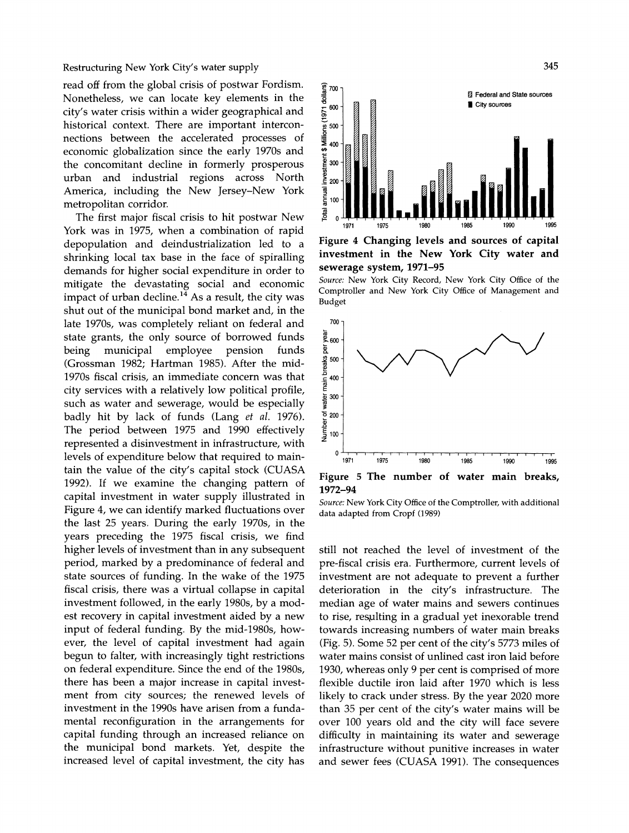**read off from the global crisis of postwar Fordism. Nonetheless, we can locate key elements in the city's water crisis within a wider geographical and historical context. There are important interconnections between the accelerated processes of economic globalization since the early 1970s and the concomitant decline in formerly prosperous urban and industrial regions across North America, including the New Jersey-New York metropolitan corridor.** 

**The first major fiscal crisis to hit postwar New York was in 1975, when a combination of rapid depopulation and deindustrialization led to a shrinking local tax base in the face of spiralling demands for higher social expenditure in order to mitigate the devastating social and economic impact of urban decline.14 As a result, the city was shut out of the municipal bond market and, in the late 1970s, was completely reliant on federal and state grants, the only source of borrowed funds employee (Grossman 1982; Hartman 1985). After the mid-1970s fiscal crisis, an immediate concern was that city services with a relatively low political profile, such as water and sewerage, would be especially badly hit by lack of funds (Lang et al. 1976). The period between 1975 and 1990 effectively represented a disinvestment in infrastructure, with levels of expenditure below that required to maintain the value of the city's capital stock (CUASA 1992). If we examine the changing pattern of capital investment in water supply illustrated in Figure 4, we can identify marked fluctuations over the last 25 years. During the early 1970s, in the years preceding the 1975 fiscal crisis, we find higher levels of investment than in any subsequent period, marked by a predominance of federal and state sources of funding. In the wake of the 1975 fiscal crisis, there was a virtual collapse in capital investment followed, in the early 1980s, by a modest recovery in capital investment aided by a new input of federal funding. By the mid-1980s, however, the level of capital investment had again begun to falter, with increasingly tight restrictions on federal expenditure. Since the end of the 1980s, there has been a major increase in capital investment from city sources; the renewed levels of investment in the 1990s have arisen from a fundamental reconfiguration in the arrangements for capital funding through an increased reliance on the municipal bond markets. Yet, despite the increased level of capital investment, the city has** 



**Figure 4 Changing levels and sources of capital investment in the New York City water and sewerage system, 1971-95** 





**1972-94** 

**Source: New York City Office of the Comptroller, with additional data adapted from Cropf (1989)** 

**still not reached the level of investment of the pre-fiscal crisis era. Furthermore, current levels of investment are not adequate to prevent a further deterioration in the city's infrastructure. The median age of water mains and sewers continues to rise, resulting in a gradual yet inexorable trend towards increasing numbers of water main breaks (Fig. 5). Some 52 per cent of the city's 5773 miles of water mains consist of unlined cast iron laid before 1930, whereas only 9 per cent is comprised of more flexible ductile iron laid after 1970 which is less likely to crack under stress. By the year 2020 more than 35 per cent of the city's water mains will be over 100 years old and the city will face severe difficulty in maintaining its water and sewerage infrastructure without punitive increases in water and sewer fees (CUASA 1991). The consequences**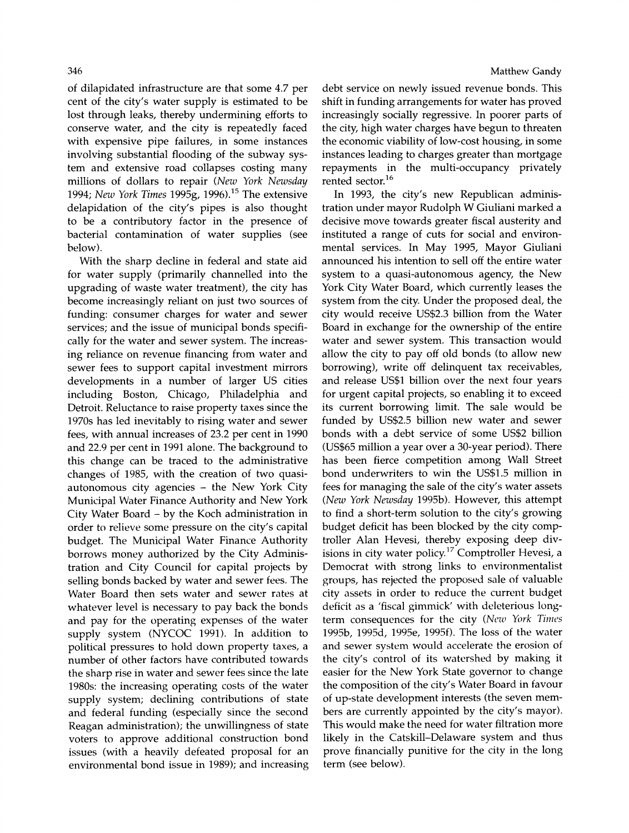**of dilapidated infrastructure are that some 4.7 per cent of the city's water supply is estimated to be lost through leaks, thereby undermining efforts to conserve water, and the city is repeatedly faced with expensive pipe failures, in some instances involving substantial flooding of the subway system and extensive road collapses costing many millions of dollars to repair (New York Newsday 1994; New York Times 1995g, 1996).15 The extensive delapidation of the city's pipes is also thought to be a contributory factor in the presence of bacterial contamination of water supplies (see below).** 

**With the sharp decline in federal and state aid for water supply (primarily channelled into the upgrading of waste water treatment), the city has become increasingly reliant on just two sources of funding: consumer charges for water and sewer services; and the issue of municipal bonds specifically for the water and sewer system. The increasing reliance on revenue financing from water and sewer fees to support capital investment mirrors developments in a number of larger US cities including Boston, Chicago, Philadelphia and Detroit. Reluctance to raise property taxes since the 1970s has led inevitably to rising water and sewer fees, with annual increases of 23.2 per cent in 1990 and 22.9 per cent in 1991 alone. The background to this change can be traced to the administrative changes of 1985, with the creation of two quasiautonomous city agencies - the New York City Municipal Water Finance Authority and New York City Water Board - by the Koch administration in order to relieve some pressure on the city's capital budget. The Municipal Water Finance Authority borrows money authorized by the City Administration and City Council for capital projects by selling bonds backed by water and sewer fees. The Water Board then sets water and sewer rates at whatever level is necessary to pay back the bonds and pay for the operating expenses of the water supply system (NYCOC 1991). In addition to political pressures to hold down property taxes, a number of other factors have contributed towards the sharp rise in water and sewer fees since the late 1980s: the increasing operating costs of the water supply system; declining contributions of state and federal funding (especially since the second Reagan administration); the unwillingness of state voters to approve additional construction bond issues (with a heavily defeated proposal for an environmental bond issue in 1989); and increasing** 

**debt service on newly issued revenue bonds. This shift in funding arrangements for water has proved increasingly socially regressive. In poorer parts of the city, high water charges have begun to threaten the economic viability of low-cost housing, in some instances leading to charges greater than mortgage repayments in the multi-occupancy privately rented sector.16** 

**In 1993, the city's new Republican administration under mayor Rudolph W Giuliani marked a decisive move towards greater fiscal austerity and instituted a range of cuts for social and environmental services. In May 1995, Mayor Giuliani announced his intention to sell off the entire water system to a quasi-autonomous agency, the New York City Water Board, which currently leases the system from the city. Under the proposed deal, the city would receive US\$2.3 billion from the Water Board in exchange for the ownership of the entire water and sewer system. This transaction would allow the city to pay off old bonds (to allow new borrowing), write off delinquent tax receivables, and release US\$1 billion over the next four years for urgent capital projects, so enabling it to exceed its current borrowing limit. The sale would be funded by US\$2.5 billion new water and sewer bonds with a debt service of some US\$2 billion (US\$65 million a year over a 30-year period). There has been fierce competition among Wall Street bond underwriters to win the US\$1.5 million in fees for managing the sale of the city's water assets (New York Newsday 1995b). However, this attempt to find a short-term solution to the city's growing budget deficit has been blocked by the city comptroller Alan Hevesi, thereby exposing deep divisions in city water policy.17 Comptroller Hevesi, a Democrat with strong links to environmentalist groups, has rejected the proposed sale of valuable city assets in order to reduce the current budget deficit as a 'fiscal gimmick' with deleterious longterm consequences for the city (New York Times 1995b, 1995d, 1995e, 1995f). The loss of the water and sewer system would accelerate the erosion of the city's control of its watershed by making it easier for the New York State governor to change the composition of the city's Water Board in favour of up-state development interests (the seven members are currently appointed by the city's mayor). This would make the need for water filtration more likely in the Catskill-Delaware system and thus prove financially punitive for the city in the long term (see below).**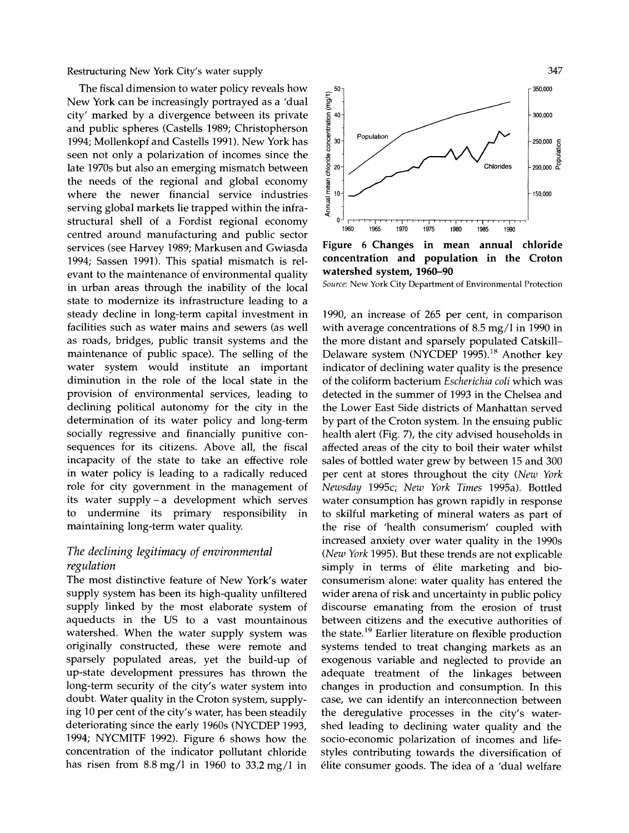**The fiscal dimension to water policy reveals how New York can be increasingly portrayed as a 'dual city' marked by a divergence between its private and public spheres (Castells 1989; Christopherson 1994; Mollenkopf and Castells 1991). New York has seen not only a polarization of incomes since the late 1970s but also an emerging mismatch between the needs of the regional and global economy where the newer financial service industries serving global markets lie trapped within the infrastructural shell of a Fordist regional economy centred around manufacturing and public sector services (see Harvey 1989; Markusen and Gwiasda 1994; Sassen 1991). This spatial mismatch is relevant to the maintenance of environmental quality in urban areas through the inability of the local state to modernize its infrastructure leading to a steady decline in long-term capital investment in facilities such as water mains and sewers (as well as roads, bridges, public transit systems and the maintenance of public space). The selling of the water system would institute an important diminution in the role of the local state in the provision of environmental services, leading to declining political autonomy for the city in the determination of its water policy and long-term socially regressive and financially punitive consequences for its citizens. Above all, the fiscal incapacity of the state to take an effective role in water policy is leading to a radically reduced role for city government in the management of its water supply-a development which serves to undermine its primary responsibility in maintaining long-term water quality.** 

# **The declining legitimacy of environmental regulation**

**The most distinctive feature of New York's water supply system has been its high-quality unfiltered supply linked by the most elaborate system of aqueducts in the US to a vast mountainous watershed. When the water supply system was originally constructed, these were remote and sparsely populated areas, yet the build-up of up-state development pressures has thrown the long-term security of the city's water system into doubt. Water quality in the Croton system, supplying 10 per cent of the city's water, has been steadily deteriorating since the early 1960s (NYCDEP 1993, 1994; NYCMITF 1992). Figure 6 shows how the concentration of the indicator pollutant chloride has risen from 8.8 mg/l in 1960 to 33.2 mg/l in** 



**Figure 6 Changes in mean annual chloride concentration and population in the Croton watershed system, 1960-90** 

**Source: New York City Department of Environmental Protection** 

**1990, an increase of 265 per cent, in comparison with average concentrations of 8.5 mg/l in 1990 in the more distant and sparsely populated Catskill-Delaware system (NYCDEP 1995).18 Another key indicator of declining water quality is the presence of the coliform bacterium Escherichia coli which was detected in the summer of 1993 in the Chelsea and the Lower East Side districts of Manhattan served by part of the Croton system. In the ensuing public health alert (Fig. 7), the city advised households in affected areas of the city to boil their water whilst sales of bottled water grew by between 15 and 300 per cent at stores throughout the city (New York Newsday 1995c; New York Times 1995a). Bottled water consumption has grown rapidly in response to skilful marketing of mineral waters as part of the rise of 'health consumerism' coupled with increased anxiety over water quality in the 1990s (New York 1995). But these trends are not explicable simply in terms of elite marketing and bioconsumerism alone: water quality has entered the wider arena of risk and uncertainty in public policy discourse emanating from the erosion of trust between citizens and the executive authorities of the state.19 Earlier literature on flexible production systems tended to treat changing markets as an exogenous variable and neglected to provide an adequate treatment of the linkages between changes in production and consumption. In this case, we can identify an interconnection between the deregulative processes in the city's watershed leading to declining water quality and the socio-economic polarization of incomes and lifestyles contributing towards the diversification of elite consumer goods. The idea of a 'dual welfare**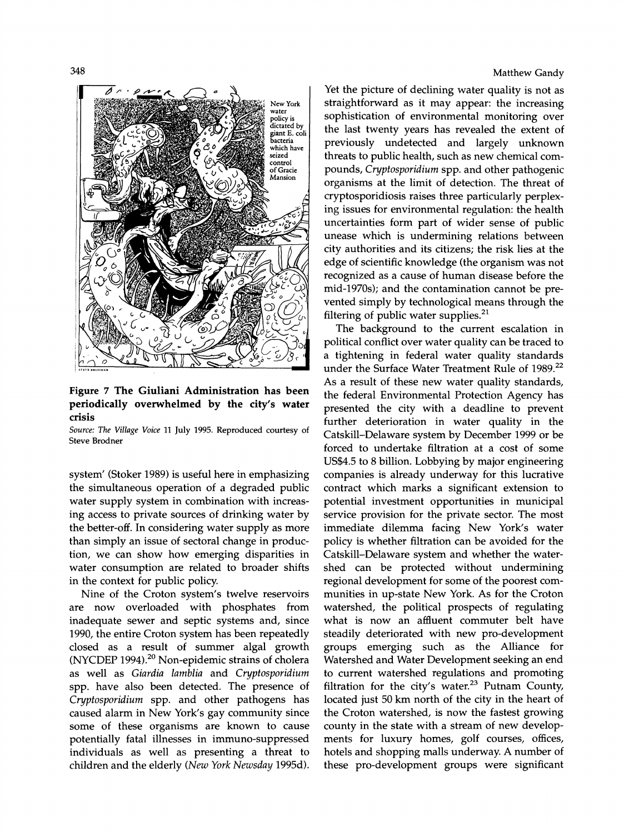**348** 



**Figure 7 The Giuliani Administration has been periodically overwhelmed by the city's water crisis** 

**Source: The Village Voice 11 July 1995. Reproduced courtesy of Steve Brodner** 

**system' (Stoker 1989) is useful here in emphasizing the simultaneous operation of a degraded public water supply system in combination with increasing access to private sources of drinking water by the better-off. In considering water supply as more than simply an issue of sectoral change in production, we can show how emerging disparities in water consumption are related to broader shifts in the context for public policy.** 

**Nine of the Croton system's twelve reservoirs are now overloaded with phosphates from inadequate sewer and septic systems and, since 1990, the entire Croton system has been repeatedly closed as a result of summer algal growth (NYCDEP 1994).20 Non-epidemic strains of cholera as well as Giardia lamblia and Cryptosporidium spp. have also been detected. The presence of Cryptosporidium spp. and other pathogens has caused alarm in New York's gay community since some of these organisms are known to cause potentially fatal illnesses in immuno-suppressed individuals as well as presenting a threat to children and the elderly (New York Newsday 1995d).** 

#### **Matthew Gandy**

**Yet the picture of declining water quality is not as straightforward as it may appear: the increasing sophistication of environmental monitoring over the last twenty years has revealed the extent of previously undetected and largely unknown threats to public health, such as new chemical compounds, Cryptosporidium spp. and other pathogenic organisms at the limit of detection. The threat of cryptosporidiosis raises three particularly perplexing issues for environmental regulation: the health uncertainties form part of wider sense of public unease which is undermining relations between city authorities and its citizens; the risk lies at the edge of scientific knowledge (the organism was not recognized as a cause of human disease before the mid-1970s); and the contamination cannot be prevented simply by technological means through the filtering of public water supplies.21** 

**The background to the current escalation in political conflict over water quality can be traced to a tightening in federal water quality standards under the Surface Water Treatment Rule of 1989.22 As a result of these new water quality standards, the federal Environmental Protection Agency has presented the city with a deadline to prevent further deterioration in water quality in the Catskill-Delaware system by December 1999 or be forced to undertake filtration at a cost of some US\$4.5 to 8 billion. Lobbying by major engineering companies is already underway for this lucrative contract which marks a significant extension to potential investment opportunities in municipal service provision for the private sector. The most immediate dilemma facing New York's water policy is whether filtration can be avoided for the Catskill-Delaware system and whether the watershed can be protected without undermining regional development for some of the poorest communities in up-state New York. As for the Croton watershed, the political prospects of regulating what is now an affluent commuter belt have steadily deteriorated with new pro-development groups emerging such as the Alliance for Watershed and Water Development seeking an end to current watershed regulations and promoting filtration for the city's water.23 Putnam County, located just 50 km north of the city in the heart of the Croton watershed, is now the fastest growing county in the state with a stream of new developments for luxury homes, golf courses, offices, hotels and shopping malls underway. A number of these pro-development groups were significant**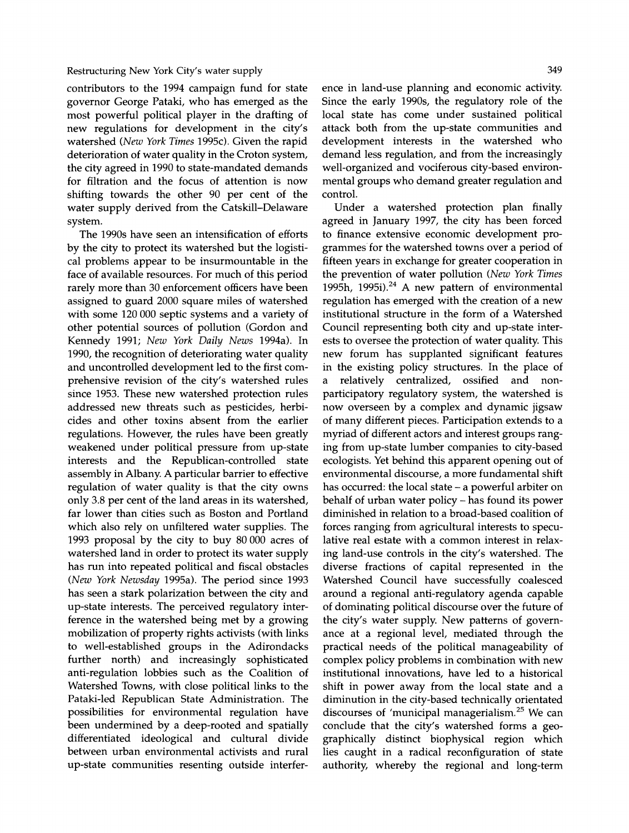**contributors to the 1994 campaign fund for state governor George Pataki, who has emerged as the most powerful political player in the drafting of new regulations for development in the city's watershed (New York Times 1995c). Given the rapid deterioration of water quality in the Croton system, the city agreed in 1990 to state-mandated demands for filtration and the focus of attention is now shifting towards the other 90 per cent of the water supply derived from the Catskill-Delaware system.** 

**The 1990s have seen an intensification of efforts by the city to protect its watershed but the logistical problems appear to be insurmountable in the face of available resources. For much of this period rarely more than 30 enforcement officers have been assigned to guard 2000 square miles of watershed with some 120 000 septic systems and a variety of other potential sources of pollution (Gordon and Kennedy 1991; New York Daily News 1994a). In 1990, the recognition of deteriorating water quality and uncontrolled development led to the first comprehensive revision of the city's watershed rules since 1953. These new watershed protection rules addressed new threats such as pesticides, herbicides and other toxins absent from the earlier regulations. However, the rules have been greatly weakened under political pressure from up-state interests and the Republican-controlled state assembly in Albany. A particular barrier to effective regulation of water quality is that the city owns only 3.8 per cent of the land areas in its watershed, far lower than cities such as Boston and Portland which also rely on unfiltered water supplies. The 1993 proposal by the city to buy 80 000 acres of watershed land in order to protect its water supply has run into repeated political and fiscal obstacles (New York Newsday 1995a). The period since 1993 has seen a stark polarization between the city and up-state interests. The perceived regulatory interference in the watershed being met by a growing mobilization of property rights activists (with links to well-established groups in the Adirondacks further north) and increasingly sophisticated anti-regulation lobbies such as the Coalition of Watershed Towns, with close political links to the Pataki-led Republican State Administration. The possibilities for environmental regulation have been undermined by a deep-rooted and spatially differentiated ideological and cultural divide between urban environmental activists and rural up-state communities resenting outside interfer-** **ence in land-use planning and economic activity. Since the early 1990s, the regulatory role of the local state has come under sustained political attack both from the up-state communities and development interests in the watershed who demand less regulation, and from the increasingly well-organized and vociferous city-based environmental groups who demand greater regulation and control.** 

**Under a watershed protection plan finally agreed in January 1997, the city has been forced to finance extensive economic development programmes for the watershed towns over a period of fifteen years in exchange for greater cooperation in the prevention of water pollution (New York Times**  1995h, 1995i).<sup>24</sup> A new pattern of environmental **regulation has emerged with the creation of a new institutional structure in the form of a Watershed Council representing both city and up-state interests to oversee the protection of water quality. This new forum has supplanted significant features in the existing policy structures. In the place of a relatively centralized, ossified and nonparticipatory regulatory system, the watershed is now overseen by a complex and dynamic jigsaw of many different pieces. Participation extends to a myriad of different actors and interest groups ranging from up-state lumber companies to city-based ecologists. Yet behind this apparent opening out of environmental discourse, a more fundamental shift has occurred: the local state - a powerful arbiter on behalf of urban water policy - has found its power diminished in relation to a broad-based coalition of forces ranging from agricultural interests to speculative real estate with a common interest in relaxing land-use controls in the city's watershed. The diverse fractions of capital represented in the Watershed Council have successfully coalesced around a regional anti-regulatory agenda capable of dominating political discourse over the future of the city's water supply. New patterns of governance at a regional level, mediated through the practical needs of the political manageability of complex policy problems in combination with new institutional innovations, have led to a historical shift in power away from the local state and a diminution in the city-based technically orientated discourses of 'municipal managerialism.25 We can conclude that the city's watershed forms a geographically distinct biophysical region which lies caught in a radical reconfiguration of state authority, whereby the regional and long-term**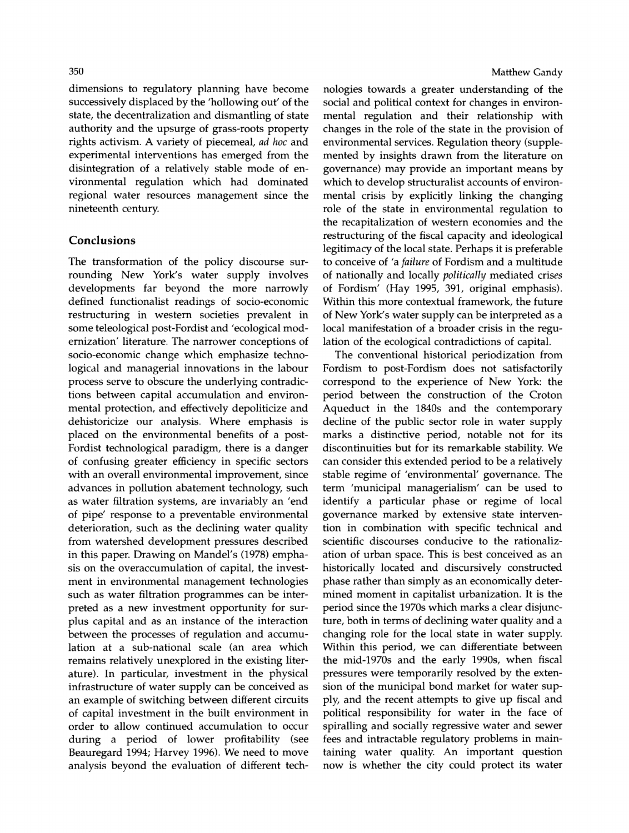**dimensions to regulatory planning have become successively displaced by the 'hollowing out' of the state, the decentralization and dismantling of state authority and the upsurge of grass-roots property rights activism. A variety of piecemeal, ad hoc and experimental interventions has emerged from the disintegration of a relatively stable mode of environmental regulation which had dominated regional water resources management since the nineteenth century.** 

# **Conclusions**

**The transformation of the policy discourse surrounding New York's water supply involves developments far beyond the more narrowly defined functionalist readings of socio-economic restructuring in western societies prevalent in some teleological post-Fordist and 'ecological modernization' literature. The narrower conceptions of socio-economic change which emphasize technological and managerial innovations in the labour process serve to obscure the underlying contradictions between capital accumulation and environmental protection, and effectively depoliticize and dehistoricize our analysis. Where emphasis is placed on the environmental benefits of a post-Fordist technological paradigm, there is a danger of confusing greater efficiency in specific sectors with an overall environmental improvement, since advances in pollution abatement technology, such as water filtration systems, are invariably an 'end of pipe' response to a preventable environmental deterioration, such as the declining water quality from watershed development pressures described in this paper. Drawing on Mandel's (1978) emphasis on the overaccumulation of capital, the investment in environmental management technologies such as water filtration programmes can be interpreted as a new investment opportunity for surplus capital and as an instance of the interaction between the processes of regulation and accumulation at a sub-national scale (an area which remains relatively unexplored in the existing literature). In particular, investment in the physical infrastructure of water supply can be conceived as an example of switching between different circuits of capital investment in the built environment in order to allow continued accumulation to occur during a period of lower profitability (see Beauregard 1994; Harvey 1996). We need to move analysis beyond the evaluation of different tech-** **nologies towards a greater understanding of the social and political context for changes in environmental regulation and their relationship with changes in the role of the state in the provision of environmental services. Regulation theory (supplemented by insights drawn from the literature on governance) may provide an important means by which to develop structuralist accounts of environmental crisis by explicitly linking the changing role of the state in environmental regulation to the recapitalization of western economies and the restructuring of the fiscal capacity and ideological legitimacy of the local state. Perhaps it is preferable to conceive of 'a failure of Fordism and a multitude of nationally and locally politically mediated crises of Fordism' (Hay 1995, 391, original emphasis). Within this more contextual framework, the future of New York's water supply can be interpreted as a local manifestation of a broader crisis in the regulation of the ecological contradictions of capital.** 

**The conventional historical periodization from Fordism to post-Fordism does not satisfactorily correspond to the experience of New York: the period between the construction of the Croton Aqueduct in the 1840s and the contemporary decline of the public sector role in water supply marks a distinctive period, notable not for its discontinuities but for its remarkable stability. We can consider this extended period to be a relatively stable regime of 'environmental' governance. The term 'municipal managerialism' can be used to identify a particular phase or regime of local governance marked by extensive state intervention in combination with specific technical and scientific discourses conducive to the rationalization of urban space. This is best conceived as an historically located and discursively constructed phase rather than simply as an economically determined moment in capitalist urbanization. It is the period since the 1970s which marks a clear disjuncture, both in terms of declining water quality and a changing role for the local state in water supply. Within this period, we can differentiate between the mid-1970s and the early 1990s, when fiscal pressures were temporarily resolved by the extension of the municipal bond market for water supply, and the recent attempts to give up fiscal and political responsibility for water in the face of spiralling and socially regressive water and sewer fees and intractable regulatory problems in maintaining water quality. An important question now is whether the city could protect its water**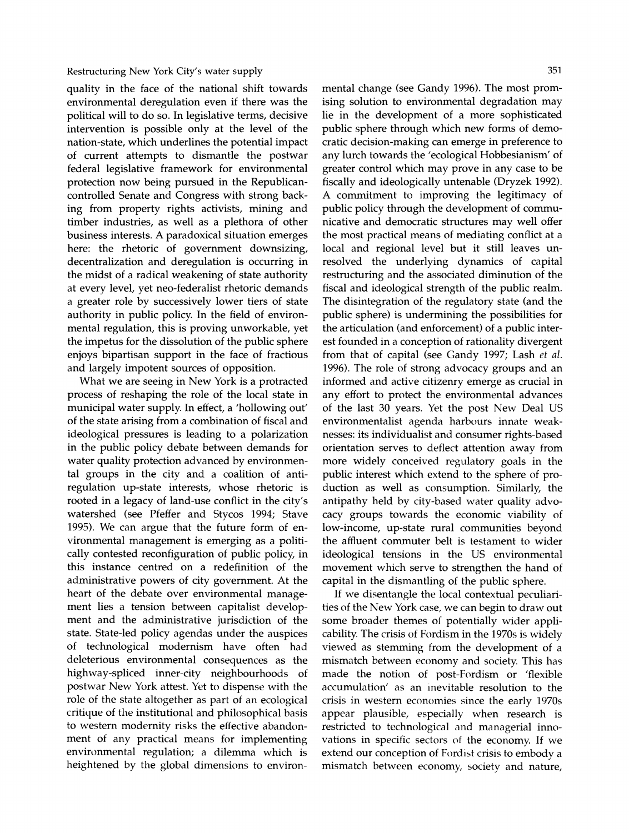**quality in the face of the national shift towards environmental deregulation even if there was the political will to do so. In legislative terms, decisive intervention is possible only at the level of the nation-state, which underlines the potential impact of current attempts to dismantle the postwar federal legislative framework for environmental protection now being pursued in the Republicancontrolled Senate and Congress with strong backing from property rights activists, mining and timber industries, as well as a plethora of other business interests. A paradoxical situation emerges here: the rhetoric of government downsizing, decentralization and deregulation is occurring in the midst of a radical weakening of state authority at every level, yet neo-federalist rhetoric demands a greater role by successively lower tiers of state authority in public policy. In the field of environmental regulation, this is proving unworkable, yet the impetus for the dissolution of the public sphere enjoys bipartisan support in the face of fractious and largely impotent sources of opposition.** 

**What we are seeing in New York is a protracted process of reshaping the role of the local state in municipal water supply. In effect, a 'hollowing out' of the state arising from a combination of fiscal and ideological pressures is leading to a polarization in the public policy debate between demands for water quality protection advanced by environmental groups in the city and a coalition of antiregulation up-state interests, whose rhetoric is rooted in a legacy of land-use conflict in the city's watershed (see Pfeffer and Stycos 1994; Stave 1995). We can argue that the future form of environmental management is emerging as a politically contested reconfiguration of public policy, in this instance centred on a redefinition of the administrative powers of city government. At the heart of the debate over environmental management lies a tension between capitalist development and the administrative jurisdiction of the state. State-led policy agendas under the auspices of technological modernism have often had deleterious environmental consequences as the highway-spliced inner-city neighbourhoods of postwar New York attest. Yet to dispense with the role of the state altogether as part of an ecological critique of the institutional and philosophical basis to western modernity risks the effective abandonment of any practical means for implementing environmental regulation; a dilemma which is heightened by the global dimensions to environ-** **mental change (see Gandy 1996). The most promising solution to environmental degradation may lie in the development of a more sophisticated public sphere through which new forms of democratic decision-making can emerge in preference to any lurch towards the 'ecological Hobbesianism' of greater control which may prove in any case to be fiscally and ideologically untenable (Dryzek 1992). A commitment to improving the legitimacy of public policy through the development of communicative and democratic structures may well offer the most practical means of mediating conflict at a local and regional level but it still leaves unresolved the underlying dynamics of capital restructuring and the associated diminution of the fiscal and ideological strength of the public realm. The disintegration of the regulatory state (and the public sphere) is undermining the possibilities for the articulation (and enforcement) of a public interest founded in a conception of rationality divergent from that of capital (see Gandy 1997; Lash et al. 1996). The role of strong advocacy groups and an informed and active citizenry emerge as crucial in any effort to protect the environmental advances of the last 30 years. Yet the post New Deal US environmentalist agenda harbours innate weaknesses: its individualist and consumer rights-based orientation serves to deflect attention away from more widely conceived regulatory goals in the public interest which extend to the sphere of production as well as consumption. Similarly, the antipathy held by city-based water quality advocacy groups towards the economic viability of low-income, up-state rural communities beyond the affluent commuter belt is testament to wider ideological tensions in the US environmental movement which serve to strengthen the hand of capital in the dismantling of the public sphere.** 

**If we disentangle the local contextual peculiarities of the New York case, we can begin to draw out some broader themes of potentially wider applicability. The crisis of Fordism in the 1970s is widely viewed as stemming from the development of a mismatch between economy and society. This has made the notion of post-Fordism or 'flexible accumulation' as an inevitable resolution to the crisis in western economies since the early 1970s appear plausible, especially when research is restricted to technological and managerial innovations in specific sectors of the economy. If we extend our conception of Fordist crisis to embody a mismatch between economy, society and nature,**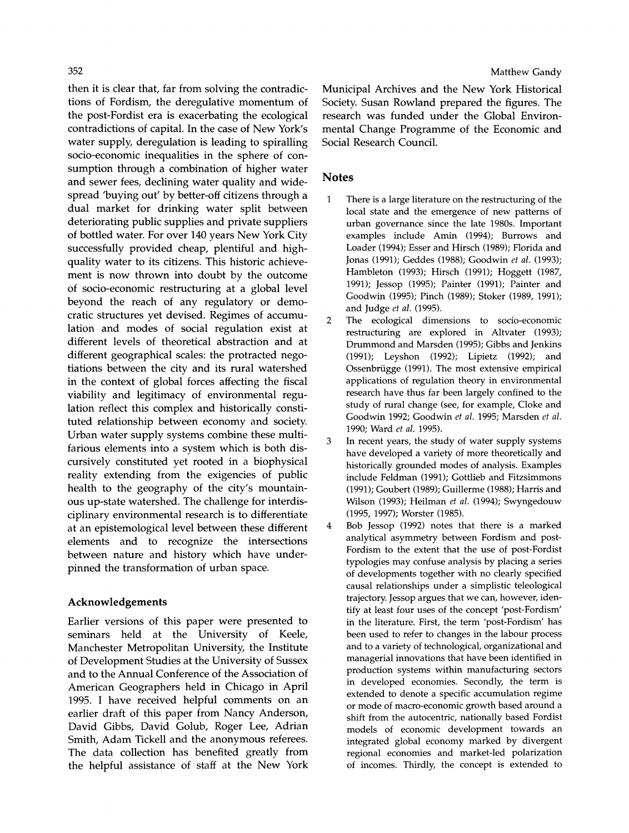**then it is clear that, far from solving the contradictions of Fordism, the deregulative momentum of the post-Fordist era is exacerbating the ecological contradictions of capital. In the case of New York's water supply, deregulation is leading to spiralling socio-economic inequalities in the sphere of consumption through a combination of higher water and sewer fees, declining water quality and widespread 'buying out' by better-off citizens through a dual market for drinking water split between deteriorating public supplies and private suppliers of bottled water. For over 140 years New York City successfully provided cheap, plentiful and highquality water to its citizens. This historic achievement is now thrown into doubt by the outcome of socio-economic restructuring at a global level beyond the reach of any regulatory or democratic structures yet devised. Regimes of accumulation and modes of social regulation exist at different levels of theoretical abstraction and at different geographical scales: the protracted negotiations between the city and its rural watershed in the context of global forces affecting the fiscal viability and legitimacy of environmental regulation reflect this complex and historically constituted relationship between economy and society. Urban water supply systems combine these multifarious elements into a system which is both discursively constituted yet rooted in a biophysical reality extending from the exigencies of public health to the geography of the city's mountainous up-state watershed. The challenge for interdisciplinary environmental research is to differentiate at an epistemological level between these different elements and to recognize the intersections between nature and history which have underpinned the transformation of urban space.** 

## **Acknowledgements**

**Earlier versions of this paper were presented to seminars held at the University of Keele, Manchester Metropolitan University, the Institute of Development Studies at the University of Sussex and to the Annual Conference of the Association of American Geographers held in Chicago in April 1995. I have received helpful comments on an earlier draft of this paper from Nancy Anderson, David Gibbs, David Golub, Roger Lee, Adrian Smith, Adam Tickell and the anonymous referees. The data collection has benefited greatly from the helpful assistance of staff at the New York** 

**Municipal Archives and the New York Historical Society. Susan Rowland prepared the figures. The research was funded under the Global Environmental Change Programme of the Economic and Social Research Council.** 

## **Notes**

- **1 There is a large literature on the restructuring of the local state and the emergence of new patterns of urban governance since the late 1980s. Important examples include Amin (1994); Burrows and Loader (1994); Esser and Hirsch (1989); Florida and Jonas (1991); Geddes (1988); Goodwin et al. (1993); Hambleton (1993); Hirsch (1991); Hoggett (1987, 1991); Jessop (1995); Painter (1991); Painter and Goodwin (1995); Pinch (1989); Stoker (1989, 1991); and Judge et al. (1995).**
- **2 The ecological dimensions to socio-economic restructuring are explored in Altvater (1993); Drummond and Marsden (1995); Gibbs and Jenkins (1991); Leyshon (1992); Lipietz (1992); and Ossenbriigge (1991). The most extensive empirical applications of regulation theory in environmental research have thus far been largely confined to the study of rural change (see, for example, Cloke and Goodwin 1992; Goodwin et al. 1995; Marsden et al. 1990; Ward et al. 1995).**
- **3 In recent years, the study of water supply systems have developed a variety of more theoretically and historically grounded modes of analysis. Examples include Feldman (1991); Gottlieb and Fitzsimmons (1991); Goubert (1989); Guillerme (1988); Harris and Wilson (1993); Heilman et al. (1994); Swyngedouw (1995, 1997); Worster (1985).**
- **4 Bob Jessop (1992) notes that there is a marked analytical asymmetry between Fordism and post-Fordism to the extent that the use of post-Fordist typologies may confuse analysis by placing a series of developments together with no clearly specified causal relationships under a simplistic teleological trajectory. Jessop argues that we can, however, identify at least four uses of the concept 'post-Fordism' in the literature. First, the term 'post-Fordism' has been used to refer to changes in the labour process and to a variety of technological, organizational and managerial innovations that have been identified in production systems within manufacturing sectors in developed economies. Secondly, the term is extended to denote a specific accumulation regime or mode of macro-economic growth based around a shift from the autocentric, nationally based Fordist models of economic development towards an integrated global economy marked by divergent regional economies and market-led polarization of incomes. Thirdly, the concept is extended to**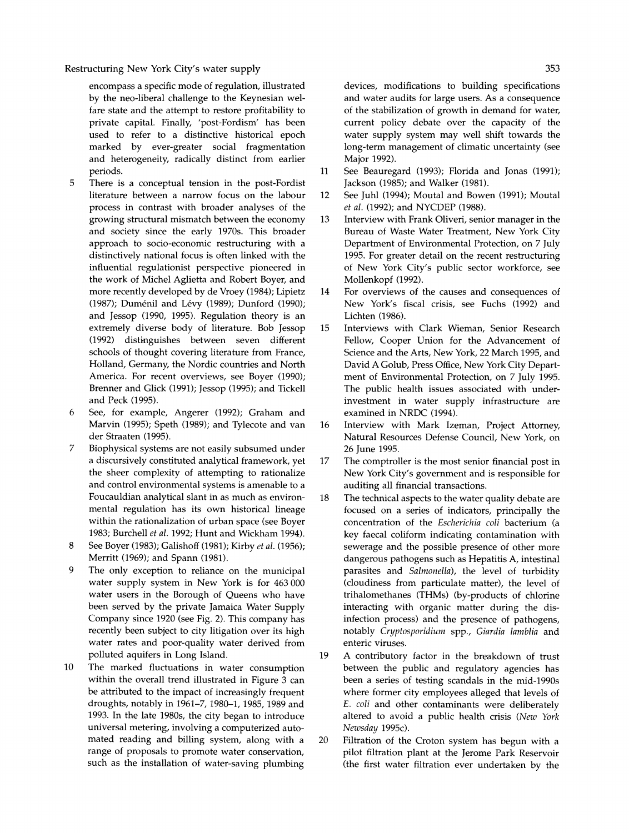**encompass a specific mode of regulation, illustrated by the neo-liberal challenge to the Keynesian welfare state and the attempt to restore profitability to private capital. Finally, 'post-Fordism' has been used to refer to a distinctive historical epoch marked by ever-greater social fragmentation and heterogeneity, radically distinct from earlier periods.** 

- **5 There is a conceptual tension in the post-Fordist literature between a narrow focus on the labour process in contrast with broader analyses of the growing structural mismatch between the economy and society since the early 1970s. This broader approach to socio-economic restructuring with a distinctively national focus is often linked with the influential regulationist perspective pioneered in the work of Michel Aglietta and Robert Boyer, and more recently developed by de Vroey (1984); Lipietz (1987); Dumenil and Levy (1989); Dunford (1990); and Jessop (1990, 1995). Regulation theory is an extremely diverse body of literature. Bob Jessop (1992) distinguishes between seven different schools of thought covering literature from France, Holland, Germany, the Nordic countries and North America. For recent overviews, see Boyer (1990); Brenner and Glick (1991); Jessop (1995); and Tickell and Peck (1995).**
- **6 See, for example, Angerer (1992); Graham and Marvin (1995); Speth (1989); and Tylecote and van der Straaten (1995).**
- **7 Biophysical systems are not easily subsumed under a discursively constituted analytical framework, yet the sheer complexity of attempting to rationalize and control environmental systems is amenable to a Foucauldian analytical slant in as much as environmental regulation has its own historical lineage within the rationalization of urban space (see Boyer 1983; Burchell et al. 1992; Hunt and Wickham 1994).**
- **8 See Boyer (1983); Galishoff (1981); Kirby et al. (1956); Merritt (1969); and Spann (1981).**
- **9 The only exception to reliance on the municipal water supply system in New York is for 463 000 water users in the Borough of Queens who have been served by the private Jamaica Water Supply Company since 1920 (see Fig. 2). This company has recently been subject to city litigation over its high water rates and poor-quality water derived from polluted aquifers in Long Island.**
- **10 The marked fluctuations in water consumption within the overall trend illustrated in Figure 3 can be attributed to the impact of increasingly frequent droughts, notably in 1961-7, 1980-1, 1985, 1989 and 1993. In the late 1980s, the city began to introduce universal metering, involving a computerized automated reading and billing system, along with a range of proposals to promote water conservation, such as the installation of water-saving plumbing**

**devices, modifications to building specifications and water audits for large users. As a consequence of the stabilization of growth in demand for water, current policy debate over the capacity of the water supply system may well shift towards the long-term management of climatic uncertainty (see Major 1992).** 

- **11 See Beauregard (1993); Florida and Jonas (1991); Jackson (1985); and Walker (1981).**
- **12 See Juhl (1994); Moutal and Bowen (1991); Moutal et al. (1992); and NYCDEP (1988).**
- **13 Interview with Frank Oliveri, senior manager in the Bureau of Waste Water Treatment, New York City Department of Environmental Protection, on 7 July 1995. For greater detail on the recent restructuring of New York City's public sector workforce, see Mollenkopf (1992).**
- **14 For overviews of the causes and consequences of New York's fiscal crisis, see Fuchs (1992) and Lichten (1986).**
- **15 Interviews with Clark Wieman, Senior Research Fellow, Cooper Union for the Advancement of Science and the Arts, New York, 22 March 1995, and David A Golub, Press Office, New York City Department of Environmental Protection, on 7 July 1995. The public health issues associated with underinvestment in water supply infrastructure are examined in NRDC (1994).**
- **16 Interview with Mark Izeman, Project Attorney, Natural Resources Defense Council, New York, on 26 June 1995.**
- **17 The comptroller is the most senior financial post in New York City's government and is responsible for auditing all financial transactions.**
- **18 The technical aspects to the water quality debate are focused on a series of indicators, principally the concentration of the Escherichia coli bacterium (a key faecal coliform indicating contamination with sewerage and the possible presence of other more dangerous pathogens such as Hepatitis A, intestinal parasites and Salmonella), the level of turbidity (cloudiness from particulate matter), the level of trihalomethanes (THMs) (by-products of chlorine interacting with organic matter during the disinfection process) and the presence of pathogens, notably Cryptosporidium spp., Giardia lamblia and enteric viruses.**
- **19 A contributory factor in the breakdown of trust between the public and regulatory agencies has been a series of testing scandals in the mid-1990s where former city employees alleged that levels of E. coli and other contaminants were deliberately altered to avoid a public health crisis (New York Newsday 1995c).**
- **20 Filtration of the Croton system has begun with a pilot filtration plant at the Jerome Park Reservoir (the first water filtration ever undertaken by the**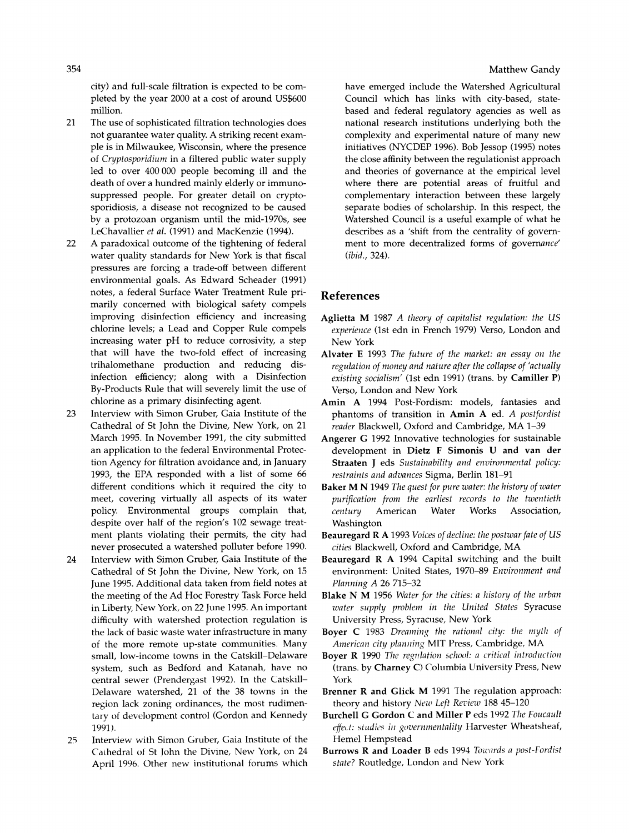**city) and full-scale filtration is expected to be completed by the year 2000 at a cost of around US\$600 million.** 

- **21 The use of sophisticated filtration technologies does not guarantee water quality. A striking recent example is in Milwaukee, Wisconsin, where the presence of Cryptosporidium in a filtered public water supply led to over 400 000 people becoming ill and the death of over a hundred mainly elderly or immunosuppressed people. For greater detail on cryptosporidiosis, a disease not recognized to be caused by a protozoan organism until the mid-1970s, see LeChavallier et al. (1991) and MacKenzie (1994).**
- **22 A paradoxical outcome of the tightening of federal water quality standards for New York is that fiscal pressures are forcing a trade-off between different environmental goals. As Edward Scheader (1991) notes, a federal Surface Water Treatment Rule primarily concerned with biological safety compels improving disinfection efficiency and increasing chlorine levels; a Lead and Copper Rule compels increasing water pH to reduce corrosivity, a step that will have the two-fold effect of increasing trihalomethane production and reducing disinfection efficiency; along with a Disinfection By-Products Rule that will severely limit the use of chlorine as a primary disinfecting agent.**
- **23 Interview with Simon Gruber, Gaia Institute of the Cathedral of St John the Divine, New York, on 21 March 1995. In November 1991, the city submitted an application to the federal Environmental Protection Agency for filtration avoidance and, in January 1993, the EPA responded with a list of some 66 different conditions which it required the city to meet, covering virtually all aspects of its water policy. Environmental groups complain that, despite over half of the region's 102 sewage treatment plants violating their permits, the city had never prosecuted a watershed polluter before 1990.**
- **24 Interview with Simon Gruber, Gaia Institute of the Cathedral of St John the Divine, New York, on 15 June 1995. Additional data taken from field notes at the meeting of the Ad Hoc Forestry Task Force held in Liberty, New York, on 22 June 1995. An important difficulty with watershed protection regulation is the lack of basic waste water infrastructure in many of the more remote up-state communities. Many small, low-income towns in the Catskill-Delaware system, such as Bedford and Katanah, have no central sewer (Prendergast 1992). In the Catskill-Delaware watershed, 21 of the 38 towns in the region lack zoning ordinances, the most rudimentary of development control (Gordon and Kennedy 1991).**
- **25 Interview with Simon Gruber, Gaia Institute of the Cathedral of St John the Divine, New York, on 24 April 1996. Other new institutional forums which**

**have emerged include the Watershed Agricultural Council which has links with city-based, statebased and federal regulatory agencies as well as national research institutions underlying both the complexity and experimental nature of many new initiatives (NYCDEP 1996). Bob Jessop (1995) notes the close affinity between the regulationist approach and theories of governance at the empirical level where there are potential areas of fruitful and complementary interaction between these largely separate bodies of scholarship. In this respect, the Watershed Council is a useful example of what he describes as a 'shift from the centrality of government to more decentralized forms of governance' (ibid., 324).** 

## **References**

- **Aglietta M 1987 A theory of capitalist regulation: the US experience (lst edn in French 1979) Verso, London and New York**
- **Alvater E 1993 The future of the market: an essay on the regulation of money and nature after the collapse of 'actually existing socialism' (1st edn 1991) (trans. by Camiller P) Verso, London and New York**
- **Amin A 1994 Post-Fordism: models, fantasies and phantoms of transition in Amin A ed. A postfordist reader Blackwell, Oxford and Cambridge, MA 1-39**
- **Angerer G 1992 Innovative technologies for sustainable development in Dietz F Simonis U and van der Straaten J eds Sustainability and environmental policy: restraints and advances Sigma, Berlin 181-91**
- **Baker M N 1949 The quest for pure water: the history of water purification from the earliest records to the twentieth**  Association, **Washington**
- **Beauregard R A 1993 Voices of decline: the postwar fate of US cities Blackwell, Oxford and Cambridge, MA**
- **Beauregard R A 1994 Capital switching and the built environment: United States, 1970-89 Environment and Planning A 26 715-32**
- **Blake N M 1956 Water for the cities: a history of the urban water supply problem in the United States Syracuse University Press, Syracuse, New York**
- **Boyer C 1983 Dreaming the rational city: the myth of American city planning MIT Press, Cambridge, MA**
- **Boyer R 1990 The regulation school: a critical introduction (trans. by Charney C) Columbia University Press, New York**
- **Brenner R and Glick M 1991 The regulation approach: theory and history Newz Left Review 188 45-120**
- **Burchell G Gordon C and Miller P eds 1992 The Foucault effect: studies in governmentality Harvester Wheatsheaf, Hemel Hempstead**
- **Burrows R and Loader B eds 1994 Towards a post-Fordist state? Routledge, London and New York**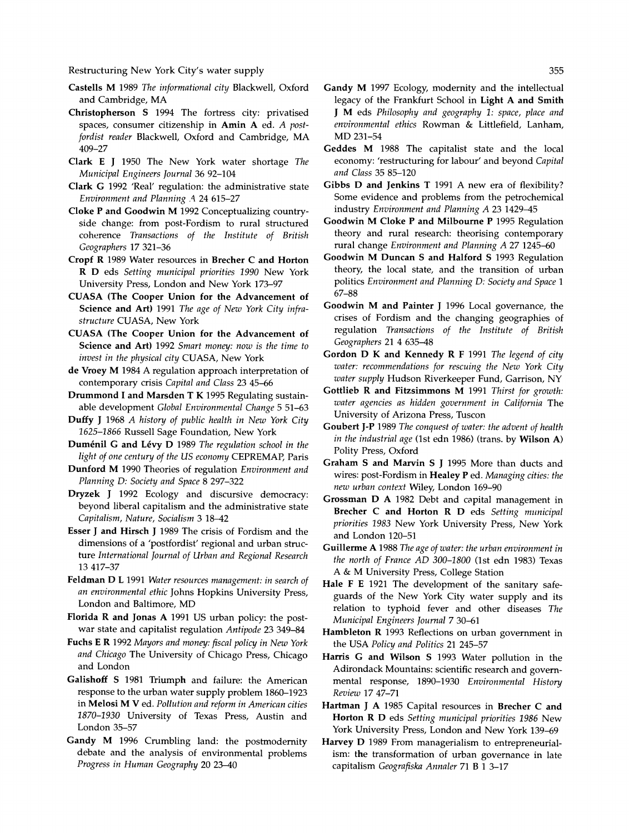- **Castells M 1989 The informational city Blackwell, Oxford and Cambridge, MA**
- **Christopherson S 1994 The fortress city: privatised spaces, consumer citizenship in Amin A ed. A postfordist reader Blackwell, Oxford and Cambridge, MA 409-27**
- **Clark E J 1950 The New York water shortage The Municipal Engineers Journal 36 92-104**
- **Clark G 1992 'Real' regulation: the administrative state Environment and Planning A 24 615-27**
- **Cloke P and Goodwin M 1992 Conceptualizing countryside change: from post-Fordism to rural structured coherence Transactions of the Institute of British Geographers 17 321-36**
- **Cropf R 1989 Water resources in Brecher C and Horton R D eds Setting municipal priorities 1990 New York University Press, London and New York 173-97**
- **CUASA (The Cooper Union for the Advancement of Science and Art) 1991 The age of New York City infrastructure CUASA, New York**
- **CUASA (The Cooper Union for the Advancement of Science and Art) 1992 Smart money: now is the time to invest in the physical city CUASA, New York**
- **de Vroey M 1984 A regulation approach interpretation of contemporary crisis Capital and Class 23 45-66**
- **Drummond I and Marsden T K 1995 Regulating sustainable development Global Environmental Change 5 51-63**
- **Duffy J 1968 A history of public health in New York City 1625-1866 Russell Sage Foundation, New York**
- **Dumenil G and Levy D 1989 The regulation school in the light of one century of the US economy CEPREMAP, Paris**
- **Dunford M 1990 Theories of regulation Environment and Planning D: Society and Space 8 297-322**
- **Dryzek J 1992 Ecology and discursive democracy: beyond liberal capitalism and the administrative state Capitalism, Nature, Socialism 3 18-42**
- **Esser J and Hirsch J 1989 The crisis of Fordism and the dimensions of a 'postfordist' regional and urban structure International Journal of Urban and Regional Research 13 417-37**
- **Feldman D L 1991 Water resources management: in search of an environmental ethic Johns Hopkins University Press, London and Baltimore, MD**
- **Florida R and Jonas A 1991 US urban policy: the postwar state and capitalist regulation Antipode 23 349-84**
- **Fuchs E R 1992 Mayors and money: fiscal policy in New York and Chicago The University of Chicago Press, Chicago and London**
- **Galishoff S 1981 Triumph and failure: the American response to the urban water supply problem 1860-1923 in Melosi M V ed. Pollution and reform in American cities 1870-1930 University of Texas Press, Austin and London 35-57**
- **Gandy M 1996 Crumbling land: the postmodernity debate and the analysis of environmental problems Progress in Human Geography 20 23-40**
- **Gandy M 1997 Ecology, modernity and the intellectual legacy of the Frankfurt School in Light A and Smith J M eds Philosophy and geography 1: space, place and environmental ethics Rowman & Littlefield, Lanham, MD 231-54**
- **Geddes M 1988 The capitalist state and the local economy: 'restructuring for labour' and beyond Capital and Class 35 85-120**
- **Gibbs D and Jenkins T 1991 A new era of flexibility? Some evidence and problems from the petrochemical industry Environment and Planning A 23 1429-45**
- **Goodwin M Cloke P and Milbourne P 1995 Regulation theory and rural research: theorising contemporary rural change Environment and Planning A 27 1245-60**
- **Goodwin M Duncan S and Halford S 1993 Regulation theory, the local state, and the transition of urban politics Environment and Planning D: Society and Space 1 67-88**
- **Goodwin M and Painter J 1996 Local governance, the crises of Fordism and the changing geographies of regulation Transactions of the Institute of British Geographers 21 4 635-48**
- **Gordon D K and Kennedy R F 1991 The legend of city water: recommendations for rescuing the New York City water supply Hudson Riverkeeper Fund, Garrison, NY**
- **Gottlieb R and Fitzsimmons M 1991 Thirst for growth: water agencies as hidden government in California The University of Arizona Press, Tuscon**
- **Goubert J-P 1989 The conquest of water: the advent of health in the industrial age (lst edn 1986) (trans. by Wilson A) Polity Press, Oxford**
- **Graham S and Marvin S J 1995 More than ducts and wires: post-Fordism in Healey P ed. Managing cities: the new urban context Wiley, London 169-90**
- **Grossman D A 1982 Debt and capital management in Brecher C and Horton R D eds Setting municipal priorities 1983 New York University Press, New York and London 120-51**
- **Guillerme A 1988 The age of water: the urban environment in the north of France AD 300-1800 (lst edn 1983) Texas A & M University Press, College Station**
- **Hale F E 1921 The development of the sanitary safeguards of the New York City water supply and its relation to typhoid fever and other diseases The Municipal Engineers Journal 7 30-61**
- **Hambleton R 1993 Reflections on urban government in the USA Policy and Politics 21 245-57**
- **Harris G and Wilson S 1993 Water pollution in the Adirondack Mountains: scientific research and governmental response, 1890-1930 Environmental History Review 17 47-71**
- **Hartman J A 1985 Capital resources in Brecher C and Horton R D eds Setting municipal priorities 1986 New York University Press, London and New York 139-69**
- **Harvey D 1989 From managerialism to entrepreneurialism: the transformation of urban governance in late capitalism Geografiska Annaler 71 B 1 3-17**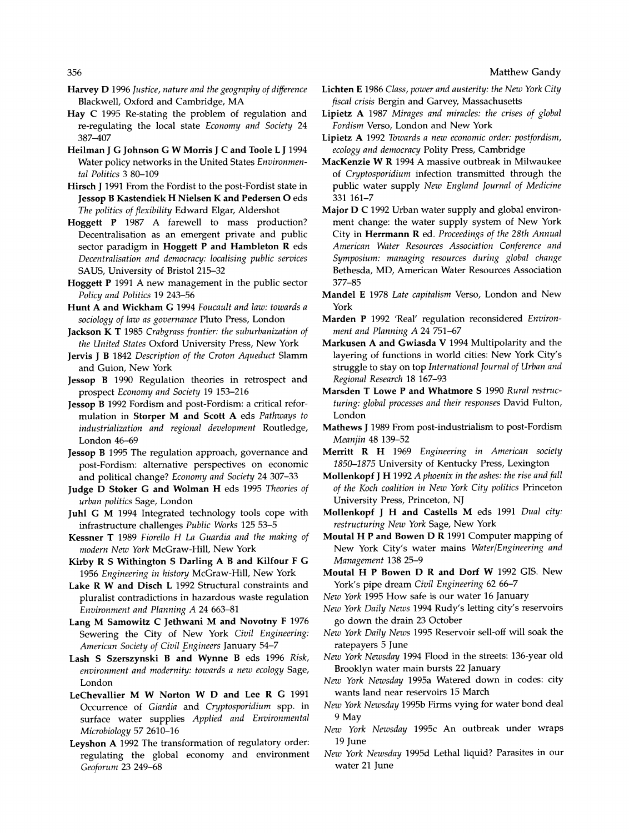- **Harvey D 1996 Justice, nature and the geography of difference Blackwell, Oxford and Cambridge, MA**
- **Hay C 1995 Re-stating the problem of regulation and re-regulating the local state Economy and Society 24 387-407**
- **Heilman J G Johnson G W Morris J C and Toole L J 1994 Water policy networks in the United States Environmental Politics 3 80-109**
- **Hirsch J 1991 From the Fordist to the post-Fordist state in Jessop B Kastendiek H Nielsen K and Pedersen O eds The politics of flexibility Edward Elgar, Aldershot**
- **Hoggett P 1987 A farewell to mass production? Decentralisation as an emergent private and public sector paradigm in Hoggett P and Hambleton R eds Decentralisation and democracy: localising public services SAUS, University of Bristol 215-32**
- **Hoggett P 1991 A new management in the public sector Policy and Politics 19 243-56**
- **Hunt A and Wickham G 1994 Foucault and law: towards a sociology of law as governance Pluto Press, London**
- **Jackson K T 1985 Crabgrass frontier: the suburbanization of the United States Oxford University Press, New York**
- **Jervis J B 1842 Description of the Croton Aqueduct Slamm and Guion, New York**
- **Jessop B 1990 Regulation theories in retrospect and prospect Economy and Society 19 153-216**
- **Jessop B 1992 Fordism and post-Fordism: a critical reformulation in Storper M and Scott A eds Pathways to industrialization and regional development Routledge, London 46-69**
- **Jessop B 1995 The regulation approach, governance and post-Fordism: alternative perspectives on economic and political change? Economy and Society 24 307-33**
- **Judge D Stoker G and Wolman H eds 1995 Theories of urban politics Sage, London**
- **Juhl G M 1994 Integrated technology tools cope with infrastructure challenges Public Works 125 53-5**
- **Kessner T 1989 Fiorello H La Guardia and the making of modern New York McGraw-Hill, New York**
- **Kirby R S Withington S Darling A B and Kilfour F G 1956 Engineering in history McGraw-Hill, New York**
- **Lake R W and Disch L 1992 Structural constraints and pluralist contradictions in hazardous waste regulation Environment and Planning A 24 663-81**
- **Lang M Samowitz C Jethwani M and Novotny F 1976 Sewering the City of New York Civil Engineering: American Society of Civil Engineers January 54-7**
- **Lash S Szerszynski B and Wynne B eds 1996 Risk, environment and modernity: towards a new ecology Sage, London**
- **LeChevallier M W Norton W D and Lee R G 1991 Occurrence of Giardia and Cryptosporidium spp. in surface water supplies Applied and Environmental Microbiology 57 2610-16**
- **Leyshon A 1992 The transformation of regulatory order: regulating the global economy and environment Geoforum 23 249-68**
- **Lichten E 1986 Class, power and austerity: the New York City fiscal crisis Bergin and Garvey, Massachusetts**
- **Lipietz A 1987 Mirages and miracles: the crises of global Fordism Verso, London and New York**
- **Lipietz A 1992 Towards a new economic order: postfordism, ecology and democracy Polity Press, Cambridge**
- **MacKenzie W R 1994 A massive outbreak in Milwaukee of Cryptosporidium infection transmitted through the public water supply New England Journal of Medicine 331 161-7**
- **Major D C 1992 Urban water supply and global environment change: the water supply system of New York City in Herrmann R ed. Proceedings of the 28th Annual American Water Resources Association Conference and Symposium: managing resources during global change Bethesda, MD, American Water Resources Association 377-85**
- **Mandel E 1978 Late capitalism Verso, London and New York**
- **Marden P 1992 'Real' regulation reconsidered Environment and Planning A 24 751-67**
- **Markusen A and Gwiasda V 1994 Multipolarity and the layering of functions in world cities: New York City's struggle to stay on top International Journal of Urban and Regional Research 18 167-93**
- **Marsden T Lowe P and Whatmore S 1990 Rural restructuring: global processes and their responses David Fulton, London**
- **Mathews J 1989 From post-industrialism to post-Fordism Meanjin 48 139-52**
- **Merritt R H 1969 Engineering in American society 1850-1875 University of Kentucky Press, Lexington**
- **Mollenkopf J H 1992 A phoenix in the ashes: the rise and fall of the Koch coalition in New York City politics Princeton University Press, Princeton, NJ**
- **Mollenkopf J H and Castells M eds 1991 Dual city: restructuring New York Sage, New York**
- **Moutal H P and Bowen D R 1991 Computer mapping of New York City's water mains Water/Engineering and Management 138 25-9**
- **Moutal H P Bowen D R and Dorf W 1992 GIS. New York's pipe dream Civil Engineering 62 66-7**
- **New York 1995 How safe is our water 16 January**
- **New York Daily News 1994 Rudy's letting city's reservoirs go down the drain 23 October**
- **New York Daily News 1995 Reservoir sell-off will soak the ratepayers 5 June**
- **New York Newsday 1994 Flood in the streets: 136-year old Brooklyn water main bursts 22 January**
- **New York Newsday 1995a Watered down in codes: city wants land near reservoirs 15 March**
- **New York Newsday 1995b Firms vying for water bond deal 9 May**
- **New York Newsday 1995c An outbreak under wraps 19 June**
- **New York Newsday 1995d Lethal liquid? Parasites in our water 21 June**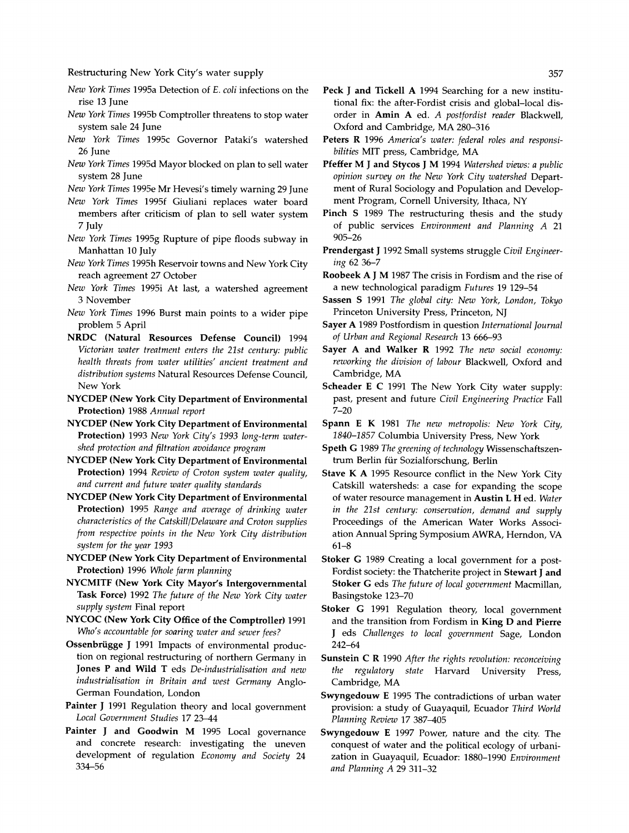- **New York Times 1995a Detection of E. coli infections on the rise 13 June**
- **New York Times 1995b Comptroller threatens to stop water system sale 24 June**
- **New York Times 1995c Governor Pataki's watershed 26 June**
- **New York Times 1995d Mayor blocked on plan to sell water system 28 June**

**New York Times 1995e Mr Hevesi's timely warning 29 June** 

- **New York Times 1995f Giuliani replaces water board members after criticism of plan to sell water system 7 July**
- **New York Times 1995g Rupture of pipe floods subway in Manhattan 10 July**
- **New York Times 1995h Reservoir towns and New York City reach agreement 27 October**
- **New York Times 1995i At last, a watershed agreement 3 November**
- **New York Times 1996 Burst main points to a wider pipe problem 5 April**
- **NRDC (Natural Resources Defense Council) 1994 Victorian water treatment enters the 21st century: public health threats from water utilities' ancient treatment and distribution systems Natural Resources Defense Council, New York**
- **NYCDEP (New York City Department of Environmental Protection) 1988 Annual report**
- **NYCDEP (New York City Department of Environmental Protection) 1993 New York City's 1993 long-term watershed protection and filtration avoidance program**
- **NYCDEP (New York City Department of Environmental Protection) 1994 Review of Croton system water quality, and current and future water quality standards**
- **NYCDEP (New York City Department of Environmental Protection) 1995 Range and average of drinking water characteristics of the Catskill/Delaware and Croton supplies from respective points in the New York City distribution system for the year 1993**
- **NYCDEP (New York City Department of Environmental Protection) 1996 Whole farm planning**
- **NYCMITF (New York City Mayor's Intergovernmental Task Force) 1992 The future of the New York City water supply system Final report**
- **NYCOC (New York City Office of the Comptroller) 1991 Who's accountable for soaring water and sewer fees?**
- **Ossenbriigge J 1991 Impacts of environmental production on regional restructuring of northern Germany in Jones P and Wild T eds De-industrialisation and new industrialisation in Britain and west Germany Anglo-German Foundation, London**
- **Painter J 1991 Regulation theory and local government Local Government Studies 17 23-44**
- **Painter J and Goodwin M 1995 Local governance and concrete research: investigating the uneven development of regulation Economy and Society 24 334-56**
- **Peck J and Tickell A 1994 Searching for a new institutional fix: the after-Fordist crisis and global-local disorder in Amin A ed. A postfordist reader Blackwell, Oxford and Cambridge, MA 280-316**
- **Peters R 1996 America's water: federal roles and responsibilities MIT press, Cambridge, MA**
- **Pfeffer M J and Stycos J M 1994 Watershed views: a public opinion survey on the New York City watershed Department of Rural Sociology and Population and Development Program, Cornell University, Ithaca, NY**
- **Pinch S 1989 The restructuring thesis and the study of public services Environment and Planning A 21 905-26**
- **Prendergast J 1992 Small systems struggle Civil Engineering 62 36-7**
- **Roobeek A J M 1987 The crisis in Fordism and the rise of a new technological paradigm Futures 19 129-54**
- **Sassen S 1991 The global city: New York, London, Tokyo Princeton University Press, Princeton, NJ**
- **Sayer A 1989 Postfordism in question International Journal of Urban and Regional Research 13 666-93**
- Sayer A and Walker R 1992 The new social economy: **reworking the division of labour Blackwell, Oxford and Cambridge, MA**
- **Scheader E C 1991 The New York City water supply: past, present and future Civil Engineering Practice Fall 7-20**
- **Spann E K 1981 The new metropolis: New York City, 1840-1857 Columbia University Press, New York**
- **Speth G 1989 The greening of technology Wissenschaftszentrum Berlin fur Sozialforschung, Berlin**
- **Stave K A 1995 Resource conflict in the New York City Catskill watersheds: a case for expanding the scope of water resource management in Austin L H ed. Water in the 21st century: conservation, demand and supply Proceedings of the American Water Works Association Annual Spring Symposium AWRA, Herndon, VA 61-8**
- **Stoker G 1989 Creating a local government for a post-Fordist society: the Thatcherite project in Stewart J and Stoker G eds The future of local government Macmillan, Basingstoke 123-70**
- **Stoker G 1991 Regulation theory, local government and the transition from Fordism in King D and Pierre J eds Challenges to local government Sage, London 242-64**
- **Sunstein C R 1990 After the rights revolution: reconceiving the regulatory state Harvard University Press, Cambridge, MA**
- **Swyngedouw E 1995 The contradictions of urban water provision: a study of Guayaquil, Ecuador Third World Planning Review 17 387-405**
- **Swyngedouw E 1997 Power, nature and the city. The conquest of water and the political ecology of urbanization in Guayaquil, Ecuador: 1880-1990 Environment and Planning A 29 311-32**